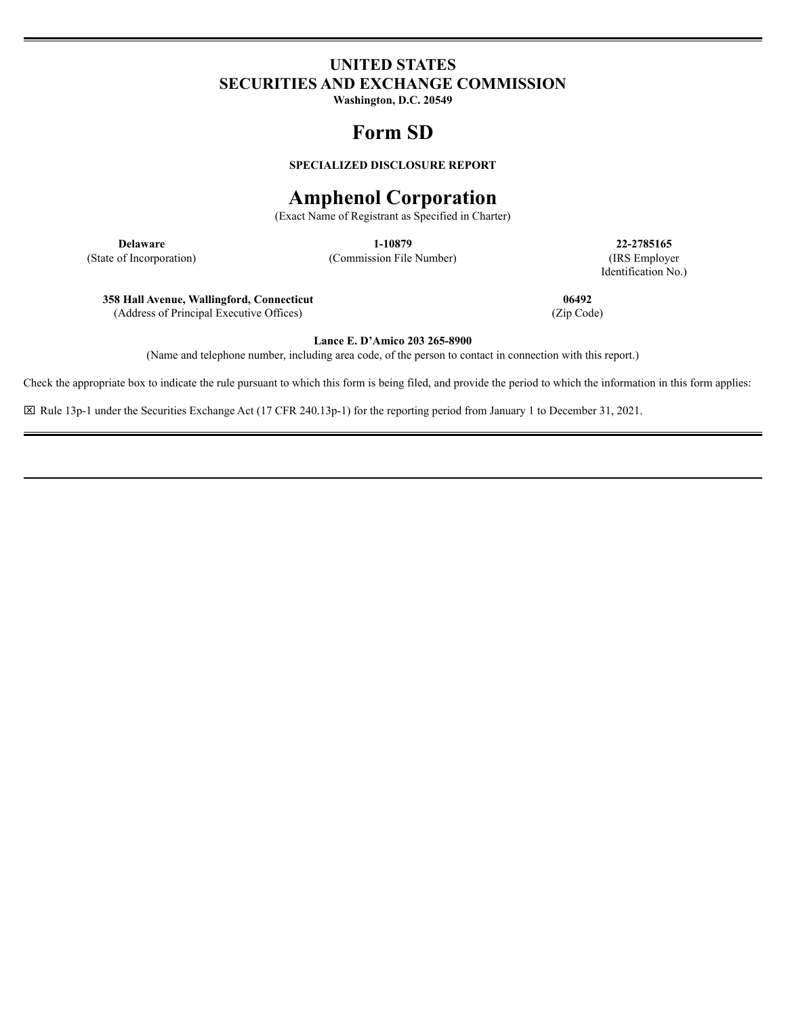## **UNITED STATES SECURITIES AND EXCHANGE COMMISSION**

**Washington, D.C. 20549**

## **Form SD**

**SPECIALIZED DISCLOSURE REPORT**

# **Amphenol Corporation**

(Exact Name of Registrant as Specified in Charter)

(State of Incorporation) (Commission File Number) (IRS Employer

**Delaware 1-10879 22-2785165** Identification No.)

**358 Hall Avenue, Wallingford, Connecticut 06492**

(Address of Principal Executive Offices) (Zip Code)

**Lance E. D'Amico 203 265-8900**

(Name and telephone number, including area code, of the person to contact in connection with this report.)

Check the appropriate box to indicate the rule pursuant to which this form is being filed, and provide the period to which the information in this form applies:

x Rule 13p-1 under the Securities Exchange Act (17 CFR 240.13p-1) for the reporting period from January 1 to December 31, 2021.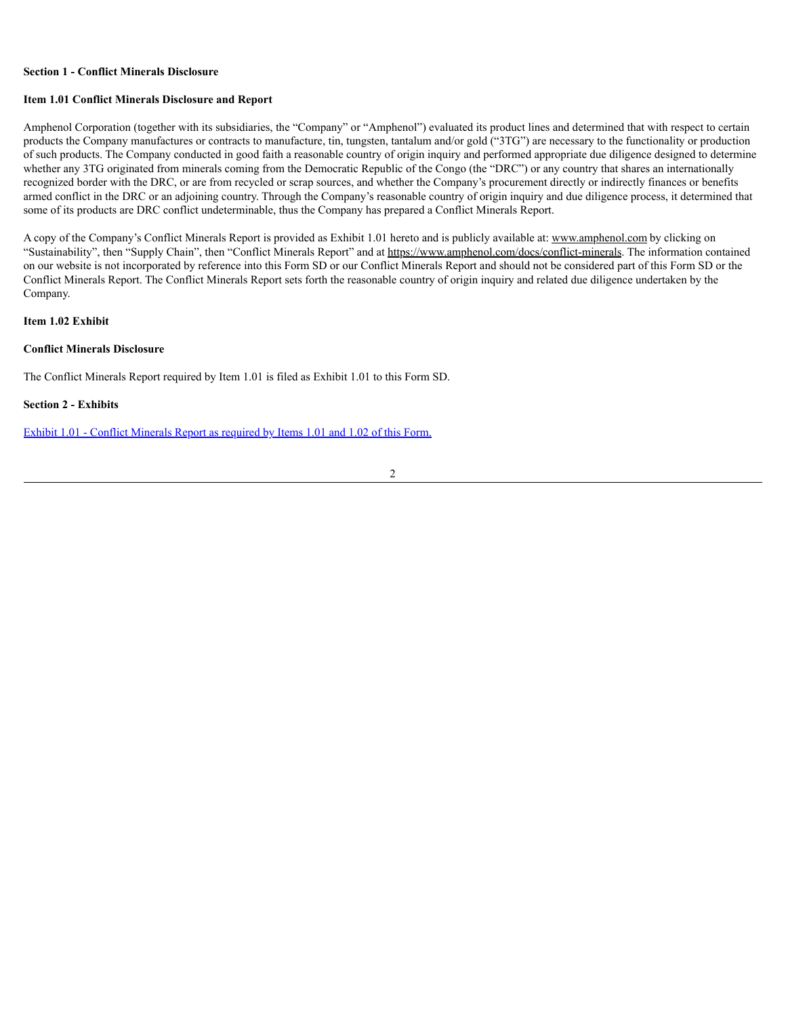#### **Section 1 - Conflict Minerals Disclosure**

#### **Item 1.01 Conflict Minerals Disclosure and Report**

Amphenol Corporation (together with its subsidiaries, the "Company" or "Amphenol") evaluated its product lines and determined that with respect to certain products the Company manufactures or contracts to manufacture, tin, tungsten, tantalum and/or gold ("3TG") are necessary to the functionality or production of such products. The Company conducted in good faith a reasonable country of origin inquiry and performed appropriate due diligence designed to determine whether any 3TG originated from minerals coming from the Democratic Republic of the Congo (the "DRC") or any country that shares an internationally recognized border with the DRC, or are from recycled or scrap sources, and whether the Company's procurement directly or indirectly finances or benefits armed conflict in the DRC or an adjoining country. Through the Company's reasonable country of origin inquiry and due diligence process, it determined that some of its products are DRC conflict undeterminable, thus the Company has prepared a Conflict Minerals Report.

A copy of the Company's Conflict Minerals Report is provided as Exhibit 1.01 hereto and is publicly available at: www.amphenol.com by clicking on "Sustainability", then "Supply Chain", then "Conflict Minerals Report" and at https://www.amphenol.com/docs/conflict-minerals. The information contained on our website is not incorporated by reference into this Form SD or our Conflict Minerals Report and should not be considered part of this Form SD or the Conflict Minerals Report. The Conflict Minerals Report sets forth the reasonable country of origin inquiry and related due diligence undertaken by the Company.

#### **Item 1.02 Exhibit**

#### **Conflict Minerals Disclosure**

The Conflict Minerals Report required by Item 1.01 is filed as Exhibit 1.01 to this Form SD.

#### **Section 2 - Exhibits**

Exhibit 1.01 - Conflict [Minerals](#page-4-0) Report as required by Items 1.01 and 1.02 of this Form.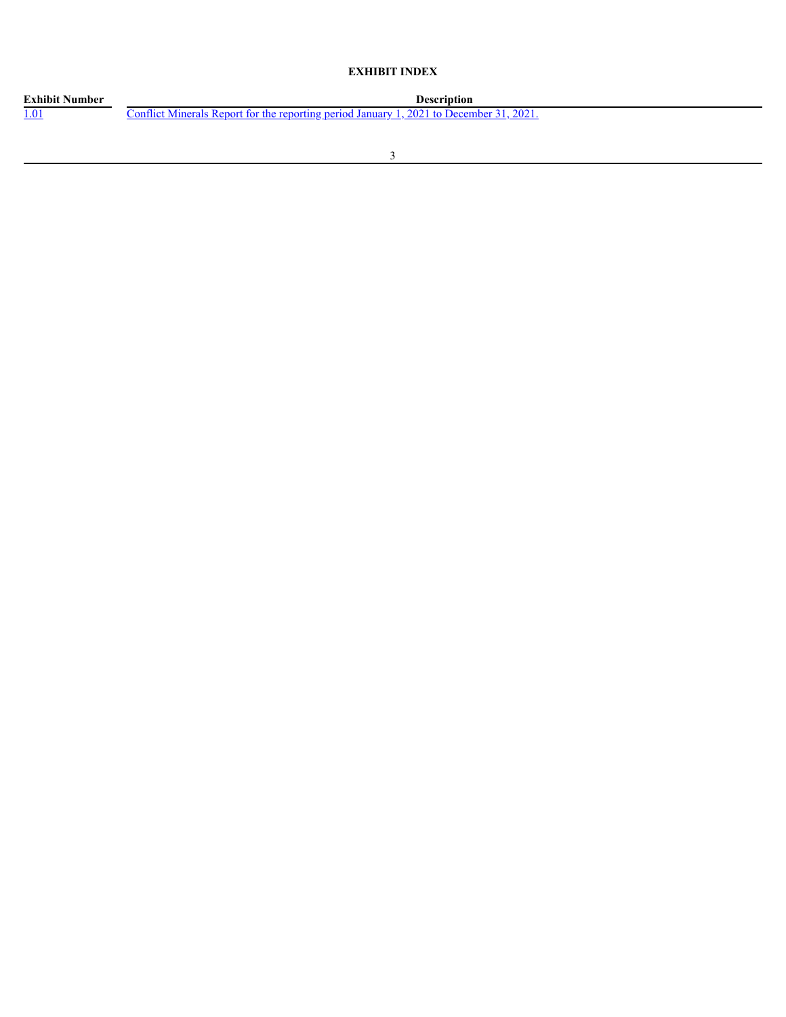## **EXHIBIT INDEX**

| <b>Exhibit Number</b> | Description                                                                               |
|-----------------------|-------------------------------------------------------------------------------------------|
| <u>1.01</u>           | 2021<br>Conflict Minerals Report for the reporting period January 1, 2021 to December 31, |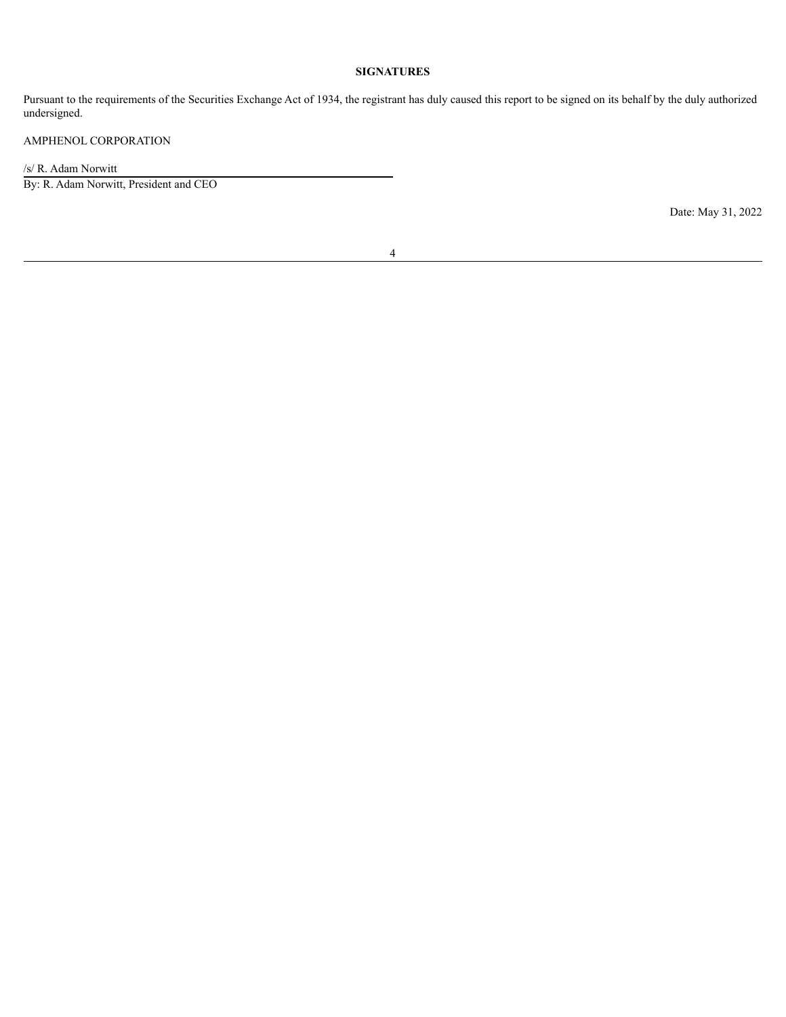## **SIGNATURES**

Pursuant to the requirements of the Securities Exchange Act of 1934, the registrant has duly caused this report to be signed on its behalf by the duly authorized undersigned.

## AMPHENOL CORPORATION

/s/ R. Adam Norwitt

By: R. Adam Norwitt, President and CEO

Date: May 31, 2022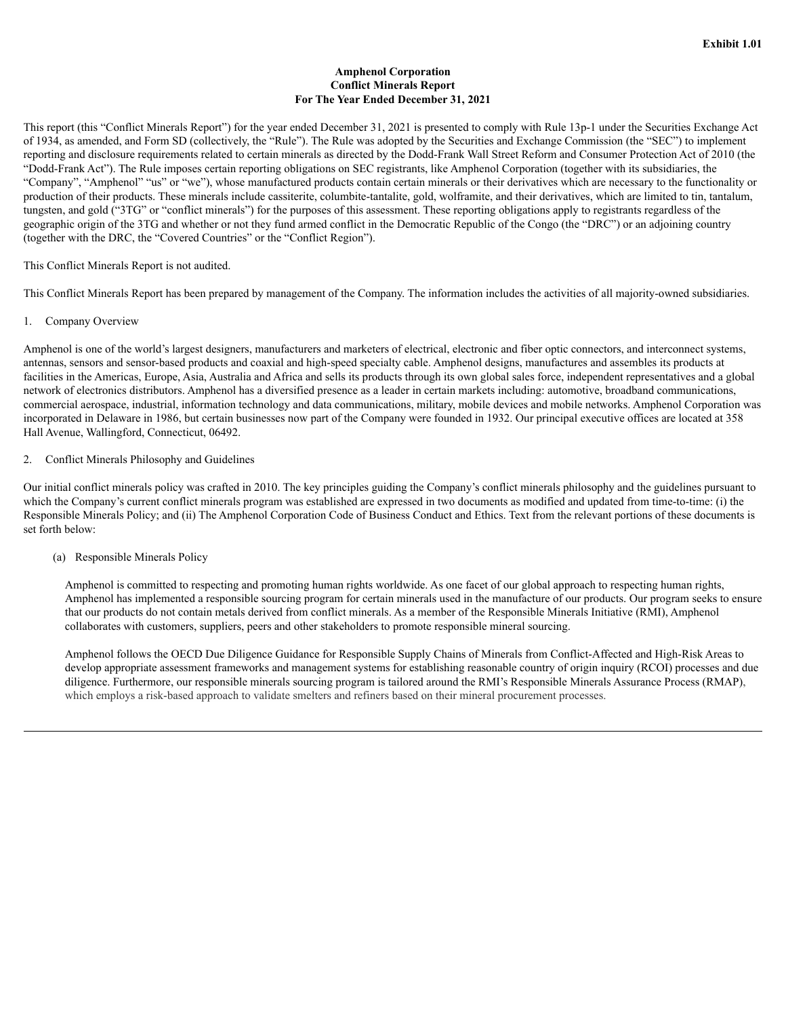#### **Amphenol Corporation Conflict Minerals Report For The Year Ended December 31, 2021**

<span id="page-4-0"></span>This report (this "Conflict Minerals Report") for the year ended December 31, 2021 is presented to comply with Rule 13p-1 under the Securities Exchange Act of 1934, as amended, and Form SD (collectively, the "Rule"). The Rule was adopted by the Securities and Exchange Commission (the "SEC") to implement reporting and disclosure requirements related to certain minerals as directed by the Dodd-Frank Wall Street Reform and Consumer Protection Act of 2010 (the "Dodd-Frank Act"). The Rule imposes certain reporting obligations on SEC registrants, like Amphenol Corporation (together with its subsidiaries, the "Company", "Amphenol" "us" or "we"), whose manufactured products contain certain minerals or their derivatives which are necessary to the functionality or production of their products. These minerals include cassiterite, columbite-tantalite, gold, wolframite, and their derivatives, which are limited to tin, tantalum, tungsten, and gold ("3TG" or "conflict minerals") for the purposes of this assessment. These reporting obligations apply to registrants regardless of the geographic origin of the 3TG and whether or not they fund armed conflict in the Democratic Republic of the Congo (the "DRC") or an adjoining country (together with the DRC, the "Covered Countries" or the "Conflict Region").

This Conflict Minerals Report is not audited.

This Conflict Minerals Report has been prepared by management of the Company. The information includes the activities of all majority-owned subsidiaries.

1. Company Overview

Amphenol is one of the world's largest designers, manufacturers and marketers of electrical, electronic and fiber optic connectors, and interconnect systems, antennas, sensors and sensor-based products and coaxial and high-speed specialty cable. Amphenol designs, manufactures and assembles its products at facilities in the Americas, Europe, Asia, Australia and Africa and sells its products through its own global sales force, independent representatives and a global network of electronics distributors. Amphenol has a diversified presence as a leader in certain markets including: automotive, broadband communications, commercial aerospace, industrial, information technology and data communications, military, mobile devices and mobile networks. Amphenol Corporation was incorporated in Delaware in 1986, but certain businesses now part of the Company were founded in 1932. Our principal executive offices are located at 358 Hall Avenue, Wallingford, Connecticut, 06492.

#### 2. Conflict Minerals Philosophy and Guidelines

Our initial conflict minerals policy was crafted in 2010. The key principles guiding the Company's conflict minerals philosophy and the guidelines pursuant to which the Company's current conflict minerals program was established are expressed in two documents as modified and updated from time-to-time: (i) the Responsible Minerals Policy; and (ii) The Amphenol Corporation Code of Business Conduct and Ethics. Text from the relevant portions of these documents is set forth below:

(a) Responsible Minerals Policy

Amphenol is committed to respecting and promoting human rights worldwide. As one facet of our global approach to respecting human rights, Amphenol has implemented a responsible sourcing program for certain minerals used in the manufacture of our products. Our program seeks to ensure that our products do not contain metals derived from conflict minerals. As a member of the Responsible Minerals Initiative (RMI), Amphenol collaborates with customers, suppliers, peers and other stakeholders to promote responsible mineral sourcing.

Amphenol follows the OECD Due Diligence Guidance for Responsible Supply Chains of Minerals from Conflict-Affected and High-Risk Areas to develop appropriate assessment frameworks and management systems for establishing reasonable country of origin inquiry (RCOI) processes and due diligence. Furthermore, our responsible minerals sourcing program is tailored around the RMI's Responsible Minerals Assurance Process (RMAP), which employs a risk-based approach to validate smelters and refiners based on their mineral procurement processes.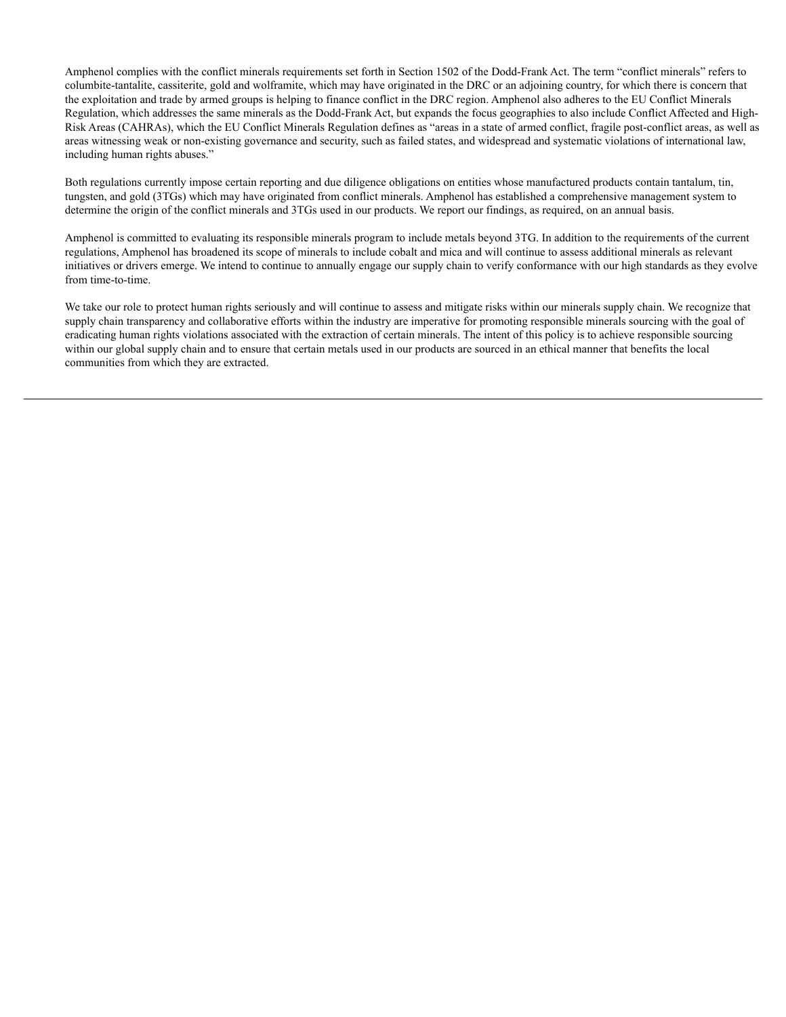Amphenol complies with the conflict minerals requirements set forth in Section 1502 of the Dodd-Frank Act. The term "conflict minerals" refers to columbite-tantalite, cassiterite, gold and wolframite, which may have originated in the DRC or an adjoining country, for which there is concern that the exploitation and trade by armed groups is helping to finance conflict in the DRC region. Amphenol also adheres to the EU Conflict Minerals Regulation, which addresses the same minerals as the Dodd-Frank Act, but expands the focus geographies to also include Conflict Affected and High-Risk Areas (CAHRAs), which the EU Conflict Minerals Regulation defines as "areas in a state of armed conflict, fragile post-conflict areas, as well as areas witnessing weak or non-existing governance and security, such as failed states, and widespread and systematic violations of international law, including human rights abuses."

Both regulations currently impose certain reporting and due diligence obligations on entities whose manufactured products contain tantalum, tin, tungsten, and gold (3TGs) which may have originated from conflict minerals. Amphenol has established a comprehensive management system to determine the origin of the conflict minerals and 3TGs used in our products. We report our findings, as required, on an annual basis.

Amphenol is committed to evaluating its responsible minerals program to include metals beyond 3TG. In addition to the requirements of the current regulations, Amphenol has broadened its scope of minerals to include cobalt and mica and will continue to assess additional minerals as relevant initiatives or drivers emerge. We intend to continue to annually engage our supply chain to verify conformance with our high standards as they evolve from time-to-time.

We take our role to protect human rights seriously and will continue to assess and mitigate risks within our minerals supply chain. We recognize that supply chain transparency and collaborative efforts within the industry are imperative for promoting responsible minerals sourcing with the goal of eradicating human rights violations associated with the extraction of certain minerals. The intent of this policy is to achieve responsible sourcing within our global supply chain and to ensure that certain metals used in our products are sourced in an ethical manner that benefits the local communities from which they are extracted.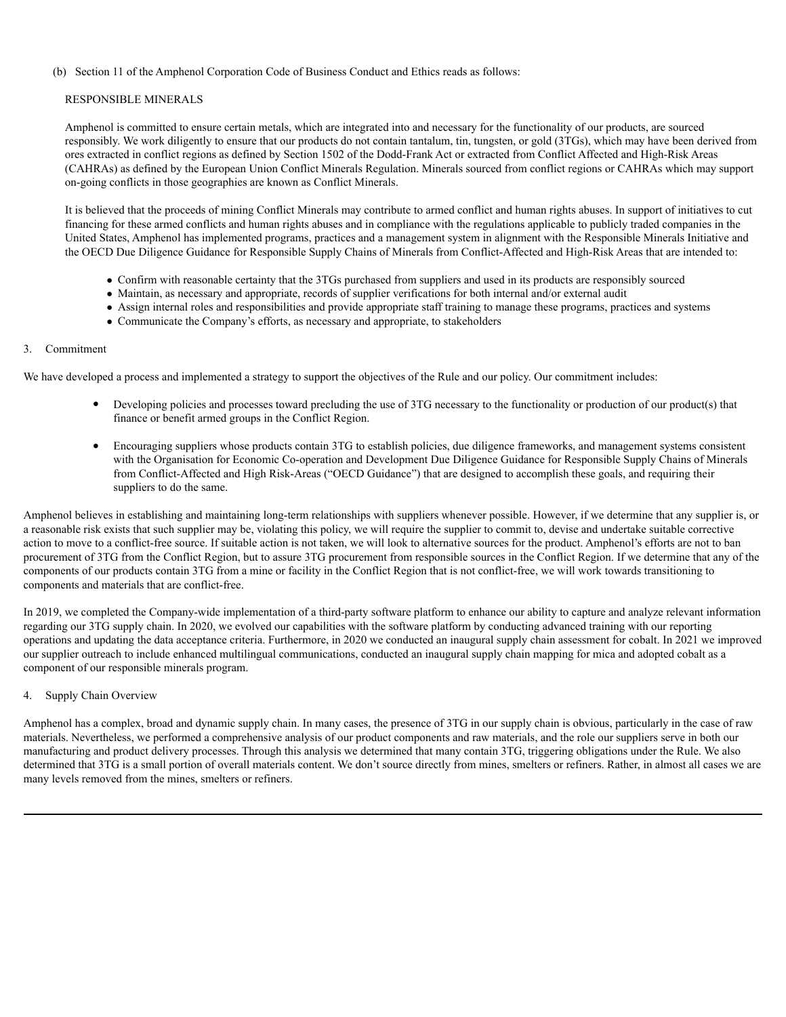#### (b) Section 11 of the Amphenol Corporation Code of Business Conduct and Ethics reads as follows:

#### RESPONSIBLE MINERALS

Amphenol is committed to ensure certain metals, which are integrated into and necessary for the functionality of our products, are sourced responsibly. We work diligently to ensure that our products do not contain tantalum, tin, tungsten, or gold (3TGs), which may have been derived from ores extracted in conflict regions as defined by Section 1502 of the Dodd-Frank Act or extracted from Conflict Affected and High-Risk Areas (CAHRAs) as defined by the European Union Conflict Minerals Regulation. Minerals sourced from conflict regions or CAHRAs which may support on-going conflicts in those geographies are known as Conflict Minerals.

It is believed that the proceeds of mining Conflict Minerals may contribute to armed conflict and human rights abuses. In support of initiatives to cut financing for these armed conflicts and human rights abuses and in compliance with the regulations applicable to publicly traded companies in the United States, Amphenol has implemented programs, practices and a management system in alignment with the Responsible Minerals Initiative and the OECD Due Diligence Guidance for Responsible Supply Chains of Minerals from Conflict-Affected and High-Risk Areas that are intended to:

- Confirm with reasonable certainty that the 3TGs purchased from suppliers and used in its products are responsibly sourced
- Maintain, as necessary and appropriate, records of supplier verifications for both internal and/or external audit
- Assign internal roles and responsibilities and provide appropriate staff training to manage these programs, practices and systems
- Communicate the Company's efforts, as necessary and appropriate, to stakeholders

#### 3. Commitment

We have developed a process and implemented a strategy to support the objectives of the Rule and our policy. Our commitment includes:

- Developing policies and processes toward precluding the use of 3TG necessary to the functionality or production of our product(s) that finance or benefit armed groups in the Conflict Region.
- Encouraging suppliers whose products contain 3TG to establish policies, due diligence frameworks, and management systems consistent with the Organisation for Economic Co-operation and Development Due Diligence Guidance for Responsible Supply Chains of Minerals from Conflict-Affected and High Risk-Areas ("OECD Guidance") that are designed to accomplish these goals, and requiring their suppliers to do the same.

Amphenol believes in establishing and maintaining long-term relationships with suppliers whenever possible. However, if we determine that any supplier is, or a reasonable risk exists that such supplier may be, violating this policy, we will require the supplier to commit to, devise and undertake suitable corrective action to move to a conflict-free source. If suitable action is not taken, we will look to alternative sources for the product. Amphenol's efforts are not to ban procurement of 3TG from the Conflict Region, but to assure 3TG procurement from responsible sources in the Conflict Region. If we determine that any of the components of our products contain 3TG from a mine or facility in the Conflict Region that is not conflict-free, we will work towards transitioning to components and materials that are conflict-free.

In 2019, we completed the Company-wide implementation of a third-party software platform to enhance our ability to capture and analyze relevant information regarding our 3TG supply chain. In 2020, we evolved our capabilities with the software platform by conducting advanced training with our reporting operations and updating the data acceptance criteria. Furthermore, in 2020 we conducted an inaugural supply chain assessment for cobalt. In 2021 we improved our supplier outreach to include enhanced multilingual communications, conducted an inaugural supply chain mapping for mica and adopted cobalt as a component of our responsible minerals program.

#### Supply Chain Overview

Amphenol has a complex, broad and dynamic supply chain. In many cases, the presence of 3TG in our supply chain is obvious, particularly in the case of raw materials. Nevertheless, we performed a comprehensive analysis of our product components and raw materials, and the role our suppliers serve in both our manufacturing and product delivery processes. Through this analysis we determined that many contain 3TG, triggering obligations under the Rule. We also determined that 3TG is a small portion of overall materials content. We don't source directly from mines, smelters or refiners. Rather, in almost all cases we are many levels removed from the mines, smelters or refiners.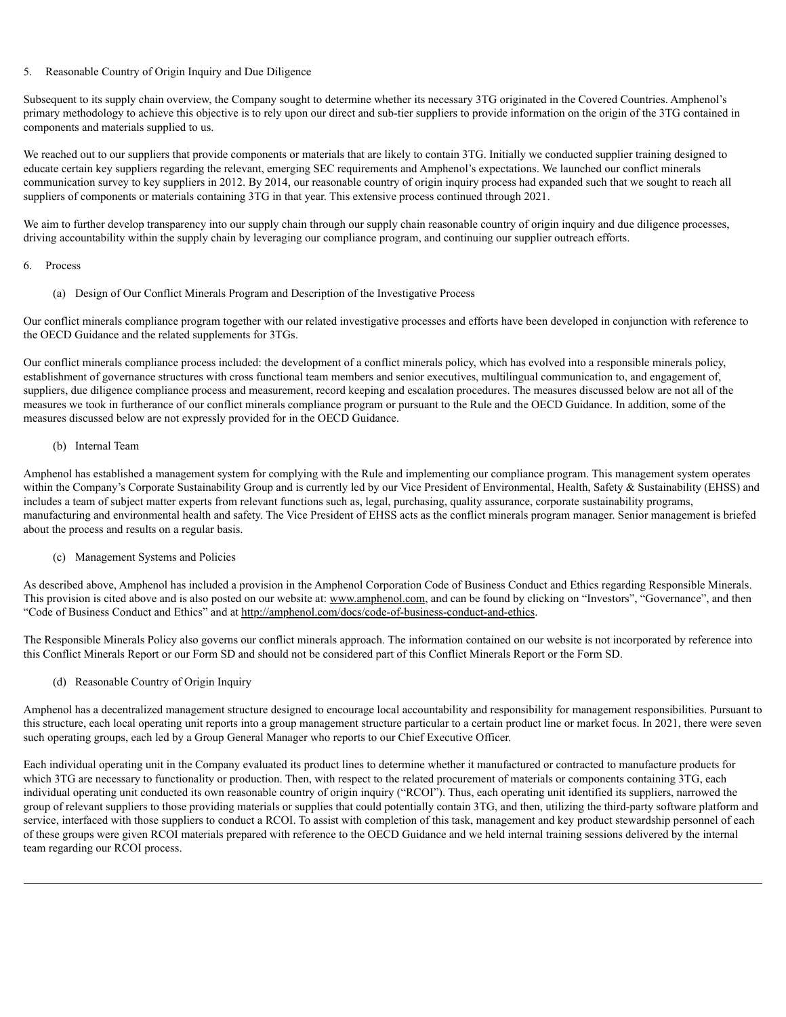#### 5. Reasonable Country of Origin Inquiry and Due Diligence

Subsequent to its supply chain overview, the Company sought to determine whether its necessary 3TG originated in the Covered Countries. Amphenol's primary methodology to achieve this objective is to rely upon our direct and sub-tier suppliers to provide information on the origin of the 3TG contained in components and materials supplied to us.

We reached out to our suppliers that provide components or materials that are likely to contain 3TG. Initially we conducted supplier training designed to educate certain key suppliers regarding the relevant, emerging SEC requirements and Amphenol's expectations. We launched our conflict minerals communication survey to key suppliers in 2012. By 2014, our reasonable country of origin inquiry process had expanded such that we sought to reach all suppliers of components or materials containing 3TG in that year. This extensive process continued through 2021.

We aim to further develop transparency into our supply chain through our supply chain reasonable country of origin inquiry and due diligence processes, driving accountability within the supply chain by leveraging our compliance program, and continuing our supplier outreach efforts.

#### 6. Process

(a) Design of Our Conflict Minerals Program and Description of the Investigative Process

Our conflict minerals compliance program together with our related investigative processes and efforts have been developed in conjunction with reference to the OECD Guidance and the related supplements for 3TGs.

Our conflict minerals compliance process included: the development of a conflict minerals policy, which has evolved into a responsible minerals policy, establishment of governance structures with cross functional team members and senior executives, multilingual communication to, and engagement of, suppliers, due diligence compliance process and measurement, record keeping and escalation procedures. The measures discussed below are not all of the measures we took in furtherance of our conflict minerals compliance program or pursuant to the Rule and the OECD Guidance. In addition, some of the measures discussed below are not expressly provided for in the OECD Guidance.

#### (b) Internal Team

Amphenol has established a management system for complying with the Rule and implementing our compliance program. This management system operates within the Company's Corporate Sustainability Group and is currently led by our Vice President of Environmental, Health, Safety & Sustainability (EHSS) and includes a team of subject matter experts from relevant functions such as, legal, purchasing, quality assurance, corporate sustainability programs, manufacturing and environmental health and safety. The Vice President of EHSS acts as the conflict minerals program manager. Senior management is briefed about the process and results on a regular basis.

#### (c) Management Systems and Policies

As described above, Amphenol has included a provision in the Amphenol Corporation Code of Business Conduct and Ethics regarding Responsible Minerals. This provision is cited above and is also posted on our website at: www.amphenol.com, and can be found by clicking on "Investors", "Governance", and then "Code of Business Conduct and Ethics" and at http://amphenol.com/docs/code-of-business-conduct-and-ethics.

The Responsible Minerals Policy also governs our conflict minerals approach. The information contained on our website is not incorporated by reference into this Conflict Minerals Report or our Form SD and should not be considered part of this Conflict Minerals Report or the Form SD.

(d) Reasonable Country of Origin Inquiry

Amphenol has a decentralized management structure designed to encourage local accountability and responsibility for management responsibilities. Pursuant to this structure, each local operating unit reports into a group management structure particular to a certain product line or market focus. In 2021, there were seven such operating groups, each led by a Group General Manager who reports to our Chief Executive Officer.

Each individual operating unit in the Company evaluated its product lines to determine whether it manufactured or contracted to manufacture products for which 3TG are necessary to functionality or production. Then, with respect to the related procurement of materials or components containing 3TG, each individual operating unit conducted its own reasonable country of origin inquiry ("RCOI"). Thus, each operating unit identified its suppliers, narrowed the group of relevant suppliers to those providing materials or supplies that could potentially contain 3TG, and then, utilizing the third-party software platform and service, interfaced with those suppliers to conduct a RCOI. To assist with completion of this task, management and key product stewardship personnel of each of these groups were given RCOI materials prepared with reference to the OECD Guidance and we held internal training sessions delivered by the internal team regarding our RCOI process.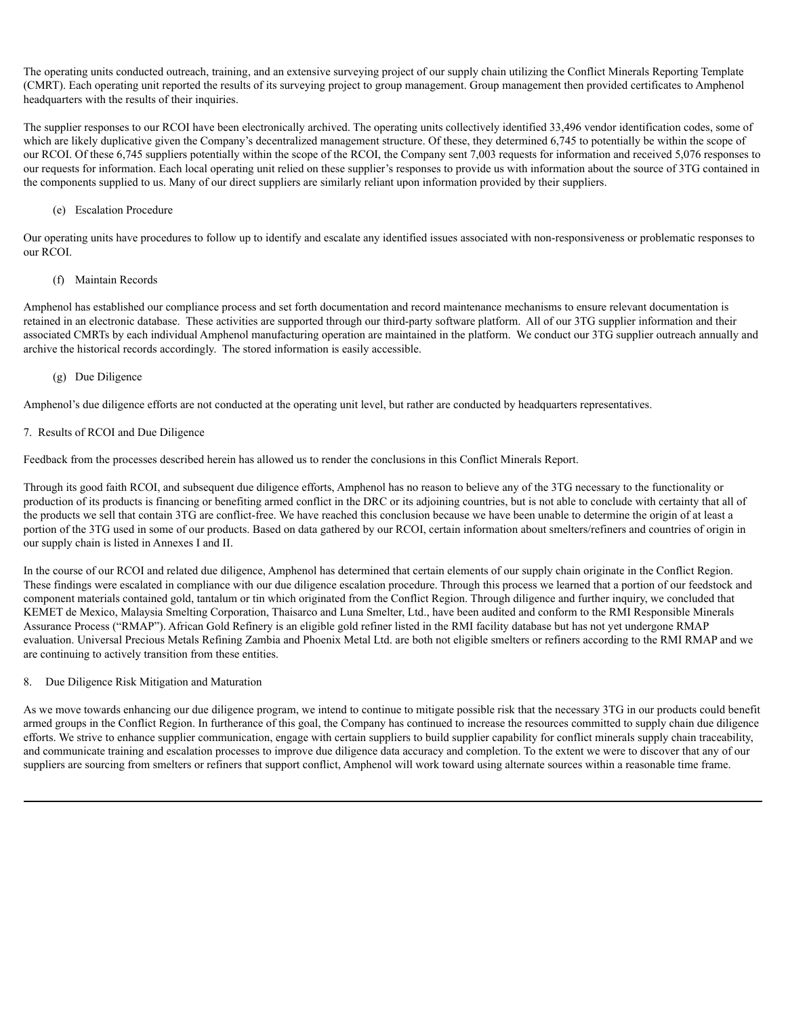The operating units conducted outreach, training, and an extensive surveying project of our supply chain utilizing the Conflict Minerals Reporting Template (CMRT). Each operating unit reported the results of its surveying project to group management. Group management then provided certificates to Amphenol headquarters with the results of their inquiries.

The supplier responses to our RCOI have been electronically archived. The operating units collectively identified 33,496 vendor identification codes, some of which are likely duplicative given the Company's decentralized management structure. Of these, they determined 6,745 to potentially be within the scope of our RCOI. Of these 6,745 suppliers potentially within the scope of the RCOI, the Company sent 7,003 requests for information and received 5,076 responses to our requests for information. Each local operating unit relied on these supplier's responses to provide us with information about the source of 3TG contained in the components supplied to us. Many of our direct suppliers are similarly reliant upon information provided by their suppliers.

#### (e) Escalation Procedure

Our operating units have procedures to follow up to identify and escalate any identified issues associated with non-responsiveness or problematic responses to our RCOI.

## (f) Maintain Records

Amphenol has established our compliance process and set forth documentation and record maintenance mechanisms to ensure relevant documentation is retained in an electronic database. These activities are supported through our third-party software platform. All of our 3TG supplier information and their associated CMRTs by each individual Amphenol manufacturing operation are maintained in the platform. We conduct our 3TG supplier outreach annually and archive the historical records accordingly. The stored information is easily accessible.

#### (g) Due Diligence

Amphenol's due diligence efforts are not conducted at the operating unit level, but rather are conducted by headquarters representatives.

#### 7. Results of RCOI and Due Diligence

Feedback from the processes described herein has allowed us to render the conclusions in this Conflict Minerals Report.

Through its good faith RCOI, and subsequent due diligence efforts, Amphenol has no reason to believe any of the 3TG necessary to the functionality or production of its products is financing or benefiting armed conflict in the DRC or its adjoining countries, but is not able to conclude with certainty that all of the products we sell that contain 3TG are conflict-free. We have reached this conclusion because we have been unable to determine the origin of at least a portion of the 3TG used in some of our products. Based on data gathered by our RCOI, certain information about smelters/refiners and countries of origin in our supply chain is listed in Annexes I and II.

In the course of our RCOI and related due diligence, Amphenol has determined that certain elements of our supply chain originate in the Conflict Region. These findings were escalated in compliance with our due diligence escalation procedure. Through this process we learned that a portion of our feedstock and component materials contained gold, tantalum or tin which originated from the Conflict Region. Through diligence and further inquiry, we concluded that KEMET de Mexico, Malaysia Smelting Corporation, Thaisarco and Luna Smelter, Ltd., have been audited and conform to the RMI Responsible Minerals Assurance Process ("RMAP"). African Gold Refinery is an eligible gold refiner listed in the RMI facility database but has not yet undergone RMAP evaluation. Universal Precious Metals Refining Zambia and Phoenix Metal Ltd. are both not eligible smelters or refiners according to the RMI RMAP and we are continuing to actively transition from these entities.

#### 8. Due Diligence Risk Mitigation and Maturation

As we move towards enhancing our due diligence program, we intend to continue to mitigate possible risk that the necessary 3TG in our products could benefit armed groups in the Conflict Region. In furtherance of this goal, the Company has continued to increase the resources committed to supply chain due diligence efforts. We strive to enhance supplier communication, engage with certain suppliers to build supplier capability for conflict minerals supply chain traceability, and communicate training and escalation processes to improve due diligence data accuracy and completion. To the extent we were to discover that any of our suppliers are sourcing from smelters or refiners that support conflict, Amphenol will work toward using alternate sources within a reasonable time frame.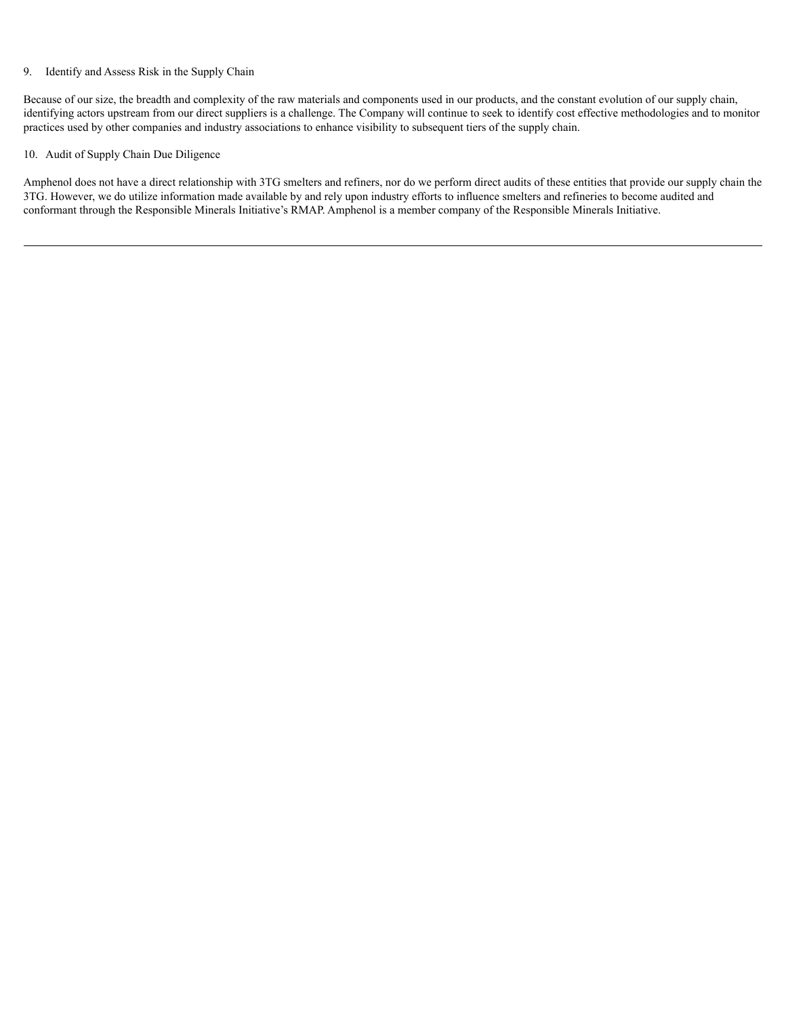#### 9. Identify and Assess Risk in the Supply Chain

Because of our size, the breadth and complexity of the raw materials and components used in our products, and the constant evolution of our supply chain, identifying actors upstream from our direct suppliers is a challenge. The Company will continue to seek to identify cost effective methodologies and to monitor practices used by other companies and industry associations to enhance visibility to subsequent tiers of the supply chain.

#### 10. Audit of Supply Chain Due Diligence

Amphenol does not have a direct relationship with 3TG smelters and refiners, nor do we perform direct audits of these entities that provide our supply chain the 3TG. However, we do utilize information made available by and rely upon industry efforts to influence smelters and refineries to become audited and conformant through the Responsible Minerals Initiative's RMAP. Amphenol is a member company of the Responsible Minerals Initiative.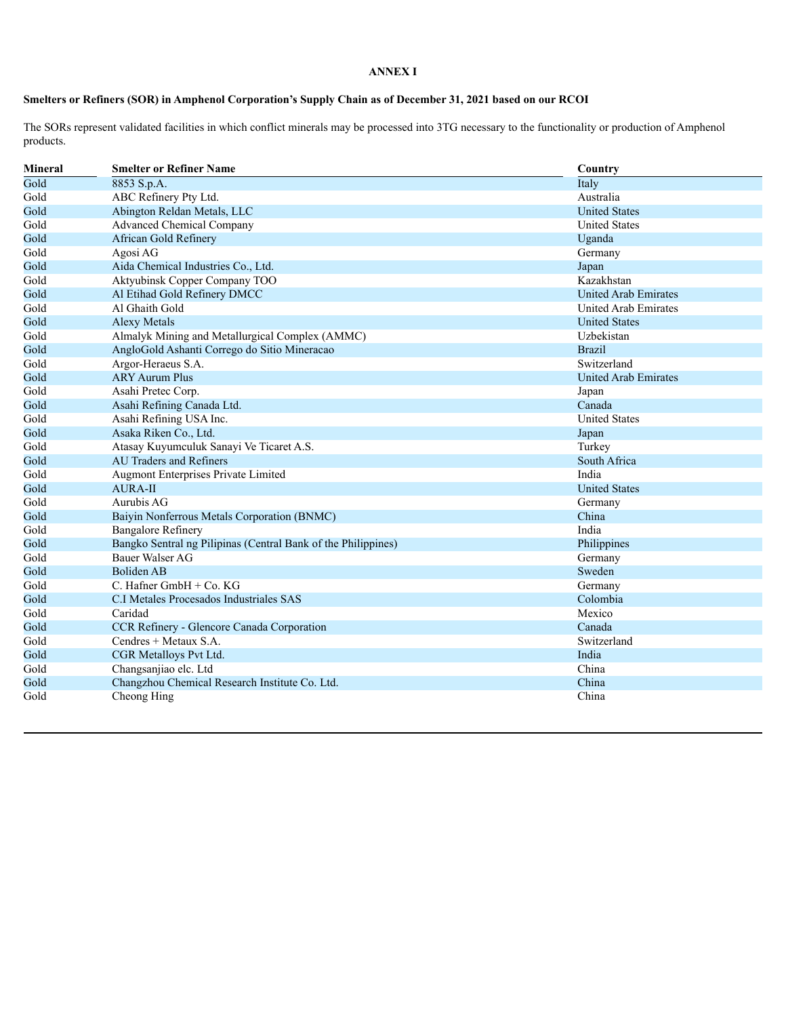### **ANNEX I**

## Smelters or Refiners (SOR) in Amphenol Corporation's Supply Chain as of December 31, 2021 based on our RCOI

The SORs represent validated facilities in which conflict minerals may be processed into 3TG necessary to the functionality or production of Amphenol products.

| Mineral | <b>Smelter or Refiner Name</b>                                | Country                     |
|---------|---------------------------------------------------------------|-----------------------------|
| Gold    | 8853 S.p.A.                                                   | Italy                       |
| Gold    | ABC Refinery Pty Ltd.                                         | Australia                   |
| Gold    | Abington Reldan Metals, LLC                                   | <b>United States</b>        |
| Gold    | <b>Advanced Chemical Company</b>                              | <b>United States</b>        |
| Gold    | African Gold Refinery                                         | Uganda                      |
| Gold    | Agosi AG                                                      | Germany                     |
| Gold    | Aida Chemical Industries Co., Ltd.                            | Japan                       |
| Gold    | Aktyubinsk Copper Company TOO                                 | Kazakhstan                  |
| Gold    | Al Etihad Gold Refinery DMCC                                  | <b>United Arab Emirates</b> |
| Gold    | Al Ghaith Gold                                                | United Arab Emirates        |
| Gold    | <b>Alexy Metals</b>                                           | <b>United States</b>        |
| Gold    | Almalyk Mining and Metallurgical Complex (AMMC)               | Uzbekistan                  |
| Gold    | AngloGold Ashanti Corrego do Sitio Mineracao                  | <b>Brazil</b>               |
| Gold    | Argor-Heraeus S.A.                                            | Switzerland                 |
| Gold    | <b>ARY Aurum Plus</b>                                         | United Arab Emirates        |
| Gold    | Asahi Pretec Corp.                                            | Japan                       |
| Gold    | Asahi Refining Canada Ltd.                                    | Canada                      |
| Gold    | Asahi Refining USA Inc.                                       | <b>United States</b>        |
| Gold    | Asaka Riken Co., Ltd.                                         | Japan                       |
| Gold    | Atasay Kuyumculuk Sanayi Ve Ticaret A.S.                      | Turkey                      |
| Gold    | <b>AU Traders and Refiners</b>                                | South Africa                |
| Gold    | Augmont Enterprises Private Limited                           | India                       |
| Gold    | <b>AURA-II</b>                                                | <b>United States</b>        |
| Gold    | Aurubis AG                                                    | Germany                     |
| Gold    | Baiyin Nonferrous Metals Corporation (BNMC)                   | China                       |
| Gold    | <b>Bangalore Refinery</b>                                     | India                       |
| Gold    | Bangko Sentral ng Pilipinas (Central Bank of the Philippines) | Philippines                 |
| Gold    | Bauer Walser AG                                               | Germany                     |
| Gold    | Boliden AB                                                    | Sweden                      |
| Gold    | C. Hafner GmbH + Co. KG                                       | Germany                     |
| Gold    | C.I Metales Procesados Industriales SAS                       | Colombia                    |
| Gold    | Caridad                                                       | Mexico                      |
| Gold    | CCR Refinery - Glencore Canada Corporation                    | Canada                      |
| Gold    | Cendres + Metaux S.A.                                         | Switzerland                 |
| Gold    | CGR Metalloys Pvt Ltd.                                        | India                       |
| Gold    | Changsanjiao elc. Ltd                                         | China                       |
| Gold    | Changzhou Chemical Research Institute Co. Ltd.                | China                       |
| Gold    | Cheong Hing                                                   | China                       |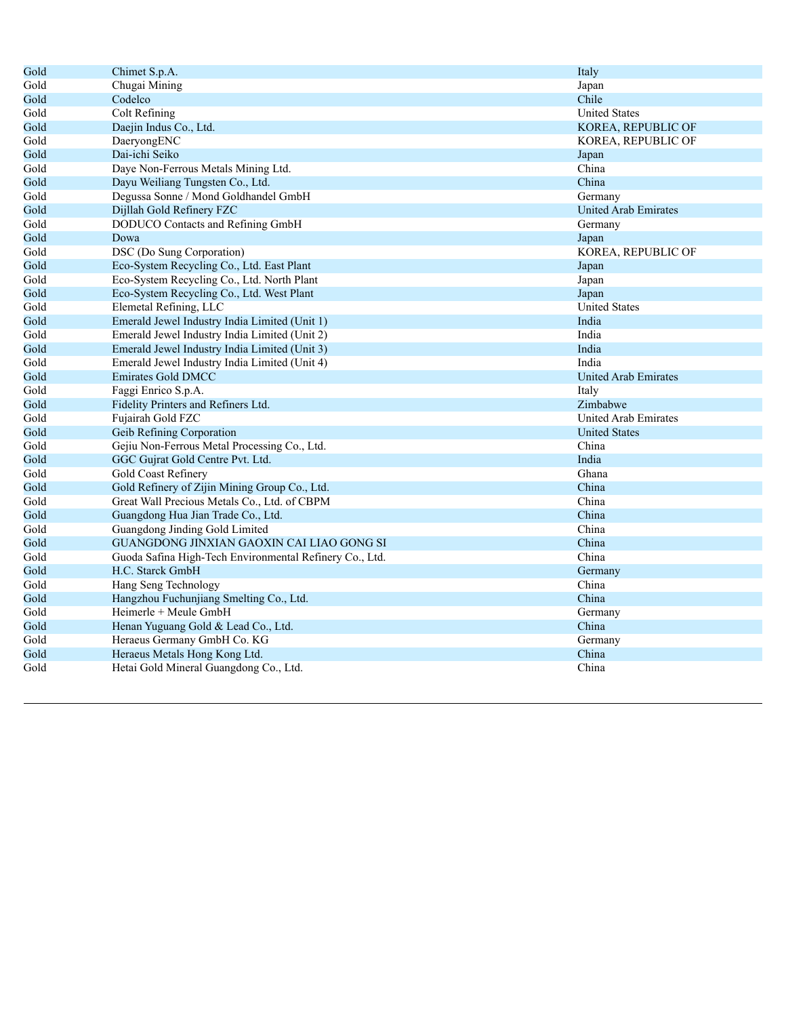| Gold | Chimet S.p.A.                                           | Italy                |
|------|---------------------------------------------------------|----------------------|
| Gold | Chugai Mining                                           | Japan                |
| Gold | Codelco                                                 | Chile                |
| Gold | Colt Refining                                           | <b>United States</b> |
| Gold | Daejin Indus Co., Ltd.                                  | KOREA, REPUBLIC OF   |
| Gold | DaeryongENC                                             | KOREA, REPUBLIC OF   |
| Gold | Dai-ichi Seiko                                          | Japan                |
| Gold | Daye Non-Ferrous Metals Mining Ltd.                     | China                |
| Gold | Dayu Weiliang Tungsten Co., Ltd.                        | China                |
| Gold | Degussa Sonne / Mond Goldhandel GmbH                    | Germany              |
| Gold | Dijllah Gold Refinery FZC                               | United Arab Emirates |
| Gold | DODUCO Contacts and Refining GmbH                       | Germany              |
| Gold | Dowa                                                    | Japan                |
| Gold | DSC (Do Sung Corporation)                               | KOREA, REPUBLIC OF   |
| Gold | Eco-System Recycling Co., Ltd. East Plant               | Japan                |
| Gold | Eco-System Recycling Co., Ltd. North Plant              | Japan                |
| Gold | Eco-System Recycling Co., Ltd. West Plant               | Japan                |
| Gold | Elemetal Refining, LLC                                  | <b>United States</b> |
| Gold | Emerald Jewel Industry India Limited (Unit 1)           | India                |
| Gold | Emerald Jewel Industry India Limited (Unit 2)           | India                |
| Gold | Emerald Jewel Industry India Limited (Unit 3)           | India                |
| Gold | Emerald Jewel Industry India Limited (Unit 4)           | India                |
| Gold | <b>Emirates Gold DMCC</b>                               | United Arab Emirates |
| Gold | Faggi Enrico S.p.A.                                     | Italy                |
| Gold | Fidelity Printers and Refiners Ltd.                     | Zimbabwe             |
| Gold | Fujairah Gold FZC                                       | United Arab Emirates |
| Gold | Geib Refining Corporation                               | <b>United States</b> |
| Gold | Gejiu Non-Ferrous Metal Processing Co., Ltd.            | China                |
| Gold | GGC Gujrat Gold Centre Pvt. Ltd.                        | India                |
| Gold | Gold Coast Refinery                                     | Ghana                |
| Gold | Gold Refinery of Zijin Mining Group Co., Ltd.           | China                |
| Gold | Great Wall Precious Metals Co., Ltd. of CBPM            | China                |
| Gold | Guangdong Hua Jian Trade Co., Ltd.                      | China                |
| Gold | Guangdong Jinding Gold Limited                          | China                |
| Gold | GUANGDONG JINXIAN GAOXIN CAI LIAO GONG SI               | China                |
| Gold | Guoda Safina High-Tech Environmental Refinery Co., Ltd. | China                |
| Gold | H.C. Starck GmbH                                        | Germany              |
| Gold | Hang Seng Technology                                    | China                |
| Gold | Hangzhou Fuchunjiang Smelting Co., Ltd.                 | China                |
| Gold | Heimerle + Meule GmbH                                   | Germany              |
| Gold | Henan Yuguang Gold & Lead Co., Ltd.                     | China                |
| Gold | Heraeus Germany GmbH Co. KG                             | Germany              |
| Gold | Heraeus Metals Hong Kong Ltd.                           | China                |
| Gold | Hetai Gold Mineral Guangdong Co., Ltd.                  | China                |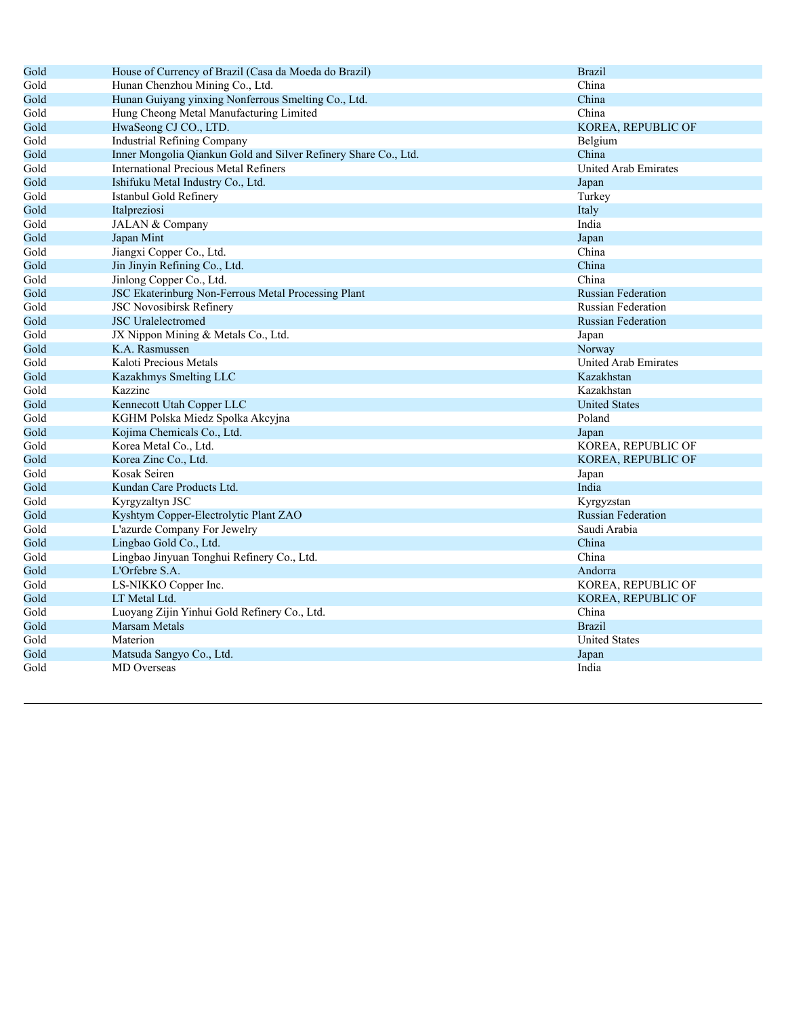| Gold | House of Currency of Brazil (Casa da Moeda do Brazil)           | <b>Brazil</b>               |
|------|-----------------------------------------------------------------|-----------------------------|
| Gold | Hunan Chenzhou Mining Co., Ltd.                                 | China                       |
| Gold | Hunan Guiyang yinxing Nonferrous Smelting Co., Ltd.             | China                       |
| Gold | Hung Cheong Metal Manufacturing Limited                         | China                       |
| Gold | HwaSeong CJ CO., LTD.                                           | KOREA, REPUBLIC OF          |
| Gold | <b>Industrial Refining Company</b>                              | Belgium                     |
| Gold | Inner Mongolia Qiankun Gold and Silver Refinery Share Co., Ltd. | China                       |
| Gold | <b>International Precious Metal Refiners</b>                    | United Arab Emirates        |
| Gold | Ishifuku Metal Industry Co., Ltd.                               | Japan                       |
| Gold | Istanbul Gold Refinery                                          | Turkey                      |
| Gold | Italpreziosi                                                    | Italy                       |
| Gold | JALAN & Company                                                 | India                       |
| Gold | Japan Mint                                                      | Japan                       |
| Gold | Jiangxi Copper Co., Ltd.                                        | China                       |
| Gold | Jin Jinyin Refining Co., Ltd.                                   | China                       |
| Gold | Jinlong Copper Co., Ltd.                                        | China                       |
| Gold | JSC Ekaterinburg Non-Ferrous Metal Processing Plant             | <b>Russian Federation</b>   |
| Gold | <b>JSC Novosibirsk Refinery</b>                                 | Russian Federation          |
| Gold | <b>JSC</b> Uralelectromed                                       | <b>Russian Federation</b>   |
| Gold | JX Nippon Mining & Metals Co., Ltd.                             | Japan                       |
| Gold | K.A. Rasmussen                                                  | Norway                      |
| Gold | Kaloti Precious Metals                                          | <b>United Arab Emirates</b> |
| Gold | Kazakhmys Smelting LLC                                          | Kazakhstan                  |
| Gold | Kazzinc                                                         | Kazakhstan                  |
| Gold | Kennecott Utah Copper LLC                                       | <b>United States</b>        |
| Gold | KGHM Polska Miedz Spolka Akcyjna                                | Poland                      |
| Gold | Kojima Chemicals Co., Ltd.                                      | Japan                       |
| Gold | Korea Metal Co., Ltd.                                           | KOREA, REPUBLIC OF          |
| Gold | Korea Zinc Co., Ltd.                                            | KOREA, REPUBLIC OF          |
| Gold | Kosak Seiren                                                    | Japan                       |
| Gold | Kundan Care Products Ltd.                                       | India                       |
| Gold | Kyrgyzaltyn JSC                                                 | Kyrgyzstan                  |
| Gold | Kyshtym Copper-Electrolytic Plant ZAO                           | <b>Russian Federation</b>   |
| Gold | L'azurde Company For Jewelry                                    | Saudi Arabia                |
| Gold | Lingbao Gold Co., Ltd.                                          | China                       |
| Gold | Lingbao Jinyuan Tonghui Refinery Co., Ltd.                      | China                       |
| Gold | L'Orfebre S.A.                                                  | Andorra                     |
| Gold | LS-NIKKO Copper Inc.                                            | KOREA, REPUBLIC OF          |
| Gold | LT Metal Ltd.                                                   | KOREA, REPUBLIC OF          |
| Gold | Luoyang Zijin Yinhui Gold Refinery Co., Ltd.                    | China                       |
| Gold | <b>Marsam Metals</b>                                            | <b>Brazil</b>               |
| Gold | Materion                                                        | <b>United States</b>        |
| Gold | Matsuda Sangyo Co., Ltd.                                        | Japan                       |
| Gold | <b>MD</b> Overseas                                              | India                       |
|      |                                                                 |                             |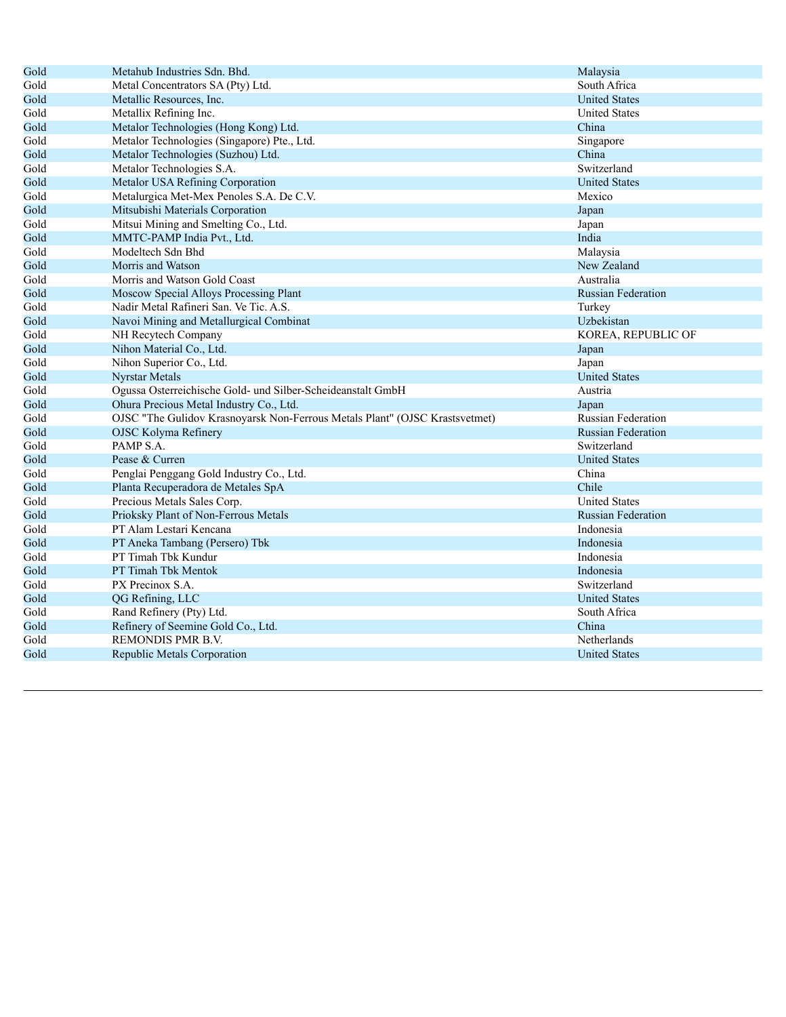| Gold | Metahub Industries Sdn. Bhd.                                                | Malaysia                  |
|------|-----------------------------------------------------------------------------|---------------------------|
| Gold | Metal Concentrators SA (Pty) Ltd.                                           | South Africa              |
| Gold | Metallic Resources, Inc.                                                    | <b>United States</b>      |
| Gold | Metallix Refining Inc.                                                      | <b>United States</b>      |
| Gold | Metalor Technologies (Hong Kong) Ltd.                                       | China                     |
| Gold | Metalor Technologies (Singapore) Pte., Ltd.                                 | Singapore                 |
| Gold | Metalor Technologies (Suzhou) Ltd.                                          | China                     |
| Gold | Metalor Technologies S.A.                                                   | Switzerland               |
| Gold | Metalor USA Refining Corporation                                            | <b>United States</b>      |
| Gold | Metalurgica Met-Mex Penoles S.A. De C.V.                                    | Mexico                    |
| Gold | Mitsubishi Materials Corporation                                            | Japan                     |
| Gold | Mitsui Mining and Smelting Co., Ltd.                                        | Japan                     |
| Gold | MMTC-PAMP India Pvt., Ltd.                                                  | India                     |
| Gold | Modeltech Sdn Bhd                                                           | Malaysia                  |
| Gold | Morris and Watson                                                           | New Zealand               |
| Gold | Morris and Watson Gold Coast                                                | Australia                 |
| Gold | Moscow Special Alloys Processing Plant                                      | <b>Russian Federation</b> |
| Gold | Nadir Metal Rafineri San. Ve Tic. A.S.                                      | Turkey                    |
| Gold | Navoi Mining and Metallurgical Combinat                                     | Uzbekistan                |
| Gold | NH Recytech Company                                                         | KOREA, REPUBLIC OF        |
| Gold | Nihon Material Co., Ltd.                                                    | Japan                     |
| Gold | Nihon Superior Co., Ltd.                                                    | Japan                     |
| Gold | <b>Nyrstar Metals</b>                                                       | <b>United States</b>      |
| Gold | Ogussa Osterreichische Gold- und Silber-Scheideanstalt GmbH                 | Austria                   |
| Gold | Ohura Precious Metal Industry Co., Ltd.                                     | Japan                     |
| Gold | OJSC "The Gulidov Krasnoyarsk Non-Ferrous Metals Plant" (OJSC Krastsvetmet) | Russian Federation        |
| Gold | OJSC Kolyma Refinery                                                        | <b>Russian Federation</b> |
| Gold | PAMP S.A.                                                                   | Switzerland               |
| Gold | Pease & Curren                                                              | <b>United States</b>      |
| Gold | Penglai Penggang Gold Industry Co., Ltd.                                    | China                     |
| Gold | Planta Recuperadora de Metales SpA                                          | Chile                     |
| Gold | Precious Metals Sales Corp.                                                 | <b>United States</b>      |
| Gold | Prioksky Plant of Non-Ferrous Metals                                        | <b>Russian Federation</b> |
| Gold | PT Alam Lestari Kencana                                                     | Indonesia                 |
| Gold | PT Aneka Tambang (Persero) Tbk                                              | Indonesia                 |
| Gold | PT Timah Tbk Kundur                                                         | Indonesia                 |
| Gold | PT Timah Tbk Mentok                                                         | Indonesia                 |
| Gold | PX Precinox S.A.                                                            | Switzerland               |
| Gold | QG Refining, LLC                                                            | <b>United States</b>      |
| Gold | Rand Refinery (Pty) Ltd.                                                    | South Africa              |
| Gold | Refinery of Seemine Gold Co., Ltd.                                          | China                     |
| Gold | <b>REMONDIS PMR B.V.</b>                                                    | Netherlands               |
| Gold | Republic Metals Corporation                                                 | <b>United States</b>      |
|      |                                                                             |                           |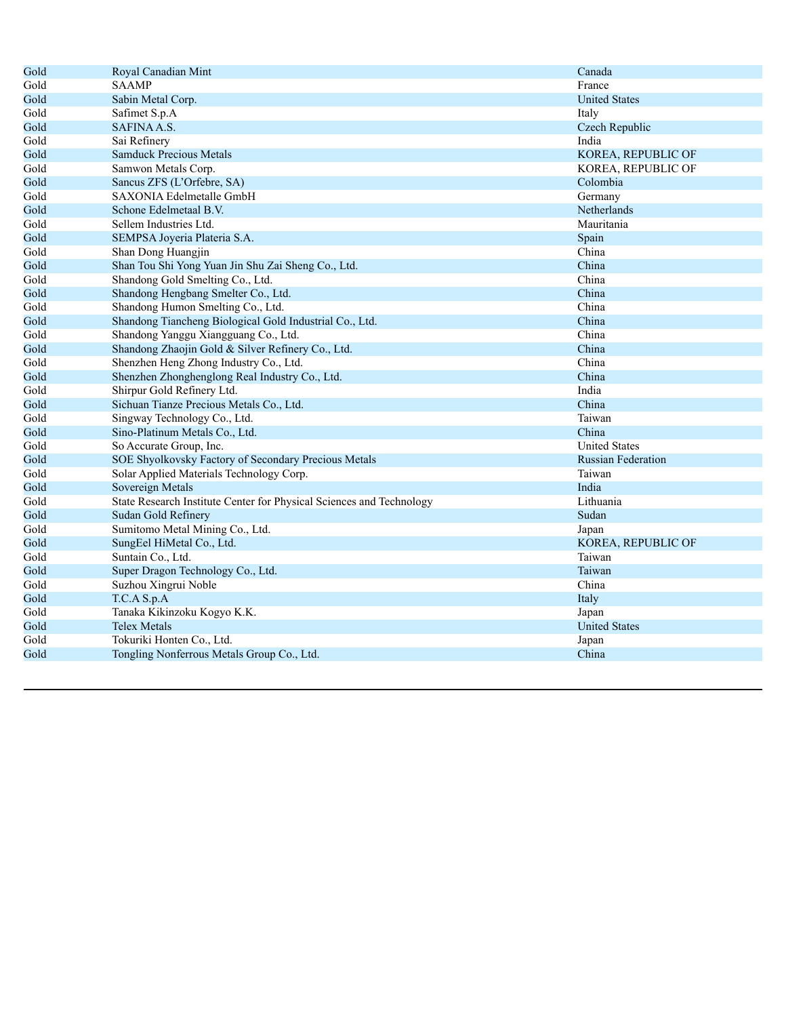| <b>SAAMP</b><br>France<br>Sabin Metal Corp.<br><b>United States</b><br>Safimet S.p.A<br>Italy<br><b>SAFINA A.S.</b><br>Czech Republic<br>Sai Refinery<br>India<br><b>Samduck Precious Metals</b><br>KOREA, REPUBLIC OF<br>Samwon Metals Corp.<br>KOREA, REPUBLIC OF<br>Colombia<br>Sancus ZFS (L'Orfebre, SA)<br>SAXONIA Edelmetalle GmbH<br>Germany<br>Schone Edelmetaal B.V.<br>Netherlands<br>Sellem Industries Ltd.<br>Mauritania<br>SEMPSA Joyeria Plateria S.A.<br>Spain<br>China<br>Shan Dong Huangjin<br>Shan Tou Shi Yong Yuan Jin Shu Zai Sheng Co., Ltd.<br>China<br>Shandong Gold Smelting Co., Ltd.<br>China<br>China<br>Shandong Hengbang Smelter Co., Ltd.<br>Shandong Humon Smelting Co., Ltd.<br>China<br>China<br>Shandong Tiancheng Biological Gold Industrial Co., Ltd.<br>China<br>Shandong Yanggu Xiangguang Co., Ltd.<br>Shandong Zhaojin Gold & Silver Refinery Co., Ltd.<br>China<br>Shenzhen Heng Zhong Industry Co., Ltd.<br>China<br>Shenzhen Zhonghenglong Real Industry Co., Ltd.<br>China<br>Shirpur Gold Refinery Ltd.<br>India<br>Sichuan Tianze Precious Metals Co., Ltd.<br>China<br>Singway Technology Co., Ltd.<br>Taiwan<br>China<br>Sino-Platinum Metals Co., Ltd.<br>So Accurate Group, Inc.<br><b>United States</b><br>SOE Shyolkovsky Factory of Secondary Precious Metals<br><b>Russian Federation</b><br>Solar Applied Materials Technology Corp.<br>Taiwan<br>India<br>Sovereign Metals<br>State Research Institute Center for Physical Sciences and Technology<br>Lithuania<br>Sudan Gold Refinery<br>Sudan<br>Sumitomo Metal Mining Co., Ltd.<br>Japan<br>SungEel HiMetal Co., Ltd.<br>KOREA, REPUBLIC OF<br>Suntain Co., Ltd.<br>Taiwan<br>Super Dragon Technology Co., Ltd.<br>Taiwan<br>China<br>Suzhou Xingrui Noble<br>T.C.A S.p.A<br>Italy<br>Tanaka Kikinzoku Kogyo K.K.<br>Japan<br><b>Telex Metals</b><br><b>United States</b><br>Tokuriki Honten Co., Ltd.<br>Japan<br>Tongling Nonferrous Metals Group Co., Ltd.<br>China | Gold | Royal Canadian Mint | Canada |
|-------------------------------------------------------------------------------------------------------------------------------------------------------------------------------------------------------------------------------------------------------------------------------------------------------------------------------------------------------------------------------------------------------------------------------------------------------------------------------------------------------------------------------------------------------------------------------------------------------------------------------------------------------------------------------------------------------------------------------------------------------------------------------------------------------------------------------------------------------------------------------------------------------------------------------------------------------------------------------------------------------------------------------------------------------------------------------------------------------------------------------------------------------------------------------------------------------------------------------------------------------------------------------------------------------------------------------------------------------------------------------------------------------------------------------------------------------------------------------------------------------------------------------------------------------------------------------------------------------------------------------------------------------------------------------------------------------------------------------------------------------------------------------------------------------------------------------------------------------------------------------------------------------------------------------------------------------------------------------------|------|---------------------|--------|
|                                                                                                                                                                                                                                                                                                                                                                                                                                                                                                                                                                                                                                                                                                                                                                                                                                                                                                                                                                                                                                                                                                                                                                                                                                                                                                                                                                                                                                                                                                                                                                                                                                                                                                                                                                                                                                                                                                                                                                                     | Gold |                     |        |
|                                                                                                                                                                                                                                                                                                                                                                                                                                                                                                                                                                                                                                                                                                                                                                                                                                                                                                                                                                                                                                                                                                                                                                                                                                                                                                                                                                                                                                                                                                                                                                                                                                                                                                                                                                                                                                                                                                                                                                                     | Gold |                     |        |
|                                                                                                                                                                                                                                                                                                                                                                                                                                                                                                                                                                                                                                                                                                                                                                                                                                                                                                                                                                                                                                                                                                                                                                                                                                                                                                                                                                                                                                                                                                                                                                                                                                                                                                                                                                                                                                                                                                                                                                                     | Gold |                     |        |
|                                                                                                                                                                                                                                                                                                                                                                                                                                                                                                                                                                                                                                                                                                                                                                                                                                                                                                                                                                                                                                                                                                                                                                                                                                                                                                                                                                                                                                                                                                                                                                                                                                                                                                                                                                                                                                                                                                                                                                                     | Gold |                     |        |
|                                                                                                                                                                                                                                                                                                                                                                                                                                                                                                                                                                                                                                                                                                                                                                                                                                                                                                                                                                                                                                                                                                                                                                                                                                                                                                                                                                                                                                                                                                                                                                                                                                                                                                                                                                                                                                                                                                                                                                                     | Gold |                     |        |
|                                                                                                                                                                                                                                                                                                                                                                                                                                                                                                                                                                                                                                                                                                                                                                                                                                                                                                                                                                                                                                                                                                                                                                                                                                                                                                                                                                                                                                                                                                                                                                                                                                                                                                                                                                                                                                                                                                                                                                                     | Gold |                     |        |
|                                                                                                                                                                                                                                                                                                                                                                                                                                                                                                                                                                                                                                                                                                                                                                                                                                                                                                                                                                                                                                                                                                                                                                                                                                                                                                                                                                                                                                                                                                                                                                                                                                                                                                                                                                                                                                                                                                                                                                                     | Gold |                     |        |
|                                                                                                                                                                                                                                                                                                                                                                                                                                                                                                                                                                                                                                                                                                                                                                                                                                                                                                                                                                                                                                                                                                                                                                                                                                                                                                                                                                                                                                                                                                                                                                                                                                                                                                                                                                                                                                                                                                                                                                                     | Gold |                     |        |
|                                                                                                                                                                                                                                                                                                                                                                                                                                                                                                                                                                                                                                                                                                                                                                                                                                                                                                                                                                                                                                                                                                                                                                                                                                                                                                                                                                                                                                                                                                                                                                                                                                                                                                                                                                                                                                                                                                                                                                                     | Gold |                     |        |
|                                                                                                                                                                                                                                                                                                                                                                                                                                                                                                                                                                                                                                                                                                                                                                                                                                                                                                                                                                                                                                                                                                                                                                                                                                                                                                                                                                                                                                                                                                                                                                                                                                                                                                                                                                                                                                                                                                                                                                                     | Gold |                     |        |
|                                                                                                                                                                                                                                                                                                                                                                                                                                                                                                                                                                                                                                                                                                                                                                                                                                                                                                                                                                                                                                                                                                                                                                                                                                                                                                                                                                                                                                                                                                                                                                                                                                                                                                                                                                                                                                                                                                                                                                                     | Gold |                     |        |
|                                                                                                                                                                                                                                                                                                                                                                                                                                                                                                                                                                                                                                                                                                                                                                                                                                                                                                                                                                                                                                                                                                                                                                                                                                                                                                                                                                                                                                                                                                                                                                                                                                                                                                                                                                                                                                                                                                                                                                                     | Gold |                     |        |
|                                                                                                                                                                                                                                                                                                                                                                                                                                                                                                                                                                                                                                                                                                                                                                                                                                                                                                                                                                                                                                                                                                                                                                                                                                                                                                                                                                                                                                                                                                                                                                                                                                                                                                                                                                                                                                                                                                                                                                                     | Gold |                     |        |
|                                                                                                                                                                                                                                                                                                                                                                                                                                                                                                                                                                                                                                                                                                                                                                                                                                                                                                                                                                                                                                                                                                                                                                                                                                                                                                                                                                                                                                                                                                                                                                                                                                                                                                                                                                                                                                                                                                                                                                                     | Gold |                     |        |
|                                                                                                                                                                                                                                                                                                                                                                                                                                                                                                                                                                                                                                                                                                                                                                                                                                                                                                                                                                                                                                                                                                                                                                                                                                                                                                                                                                                                                                                                                                                                                                                                                                                                                                                                                                                                                                                                                                                                                                                     | Gold |                     |        |
|                                                                                                                                                                                                                                                                                                                                                                                                                                                                                                                                                                                                                                                                                                                                                                                                                                                                                                                                                                                                                                                                                                                                                                                                                                                                                                                                                                                                                                                                                                                                                                                                                                                                                                                                                                                                                                                                                                                                                                                     | Gold |                     |        |
|                                                                                                                                                                                                                                                                                                                                                                                                                                                                                                                                                                                                                                                                                                                                                                                                                                                                                                                                                                                                                                                                                                                                                                                                                                                                                                                                                                                                                                                                                                                                                                                                                                                                                                                                                                                                                                                                                                                                                                                     | Gold |                     |        |
|                                                                                                                                                                                                                                                                                                                                                                                                                                                                                                                                                                                                                                                                                                                                                                                                                                                                                                                                                                                                                                                                                                                                                                                                                                                                                                                                                                                                                                                                                                                                                                                                                                                                                                                                                                                                                                                                                                                                                                                     | Gold |                     |        |
|                                                                                                                                                                                                                                                                                                                                                                                                                                                                                                                                                                                                                                                                                                                                                                                                                                                                                                                                                                                                                                                                                                                                                                                                                                                                                                                                                                                                                                                                                                                                                                                                                                                                                                                                                                                                                                                                                                                                                                                     | Gold |                     |        |
|                                                                                                                                                                                                                                                                                                                                                                                                                                                                                                                                                                                                                                                                                                                                                                                                                                                                                                                                                                                                                                                                                                                                                                                                                                                                                                                                                                                                                                                                                                                                                                                                                                                                                                                                                                                                                                                                                                                                                                                     | Gold |                     |        |
|                                                                                                                                                                                                                                                                                                                                                                                                                                                                                                                                                                                                                                                                                                                                                                                                                                                                                                                                                                                                                                                                                                                                                                                                                                                                                                                                                                                                                                                                                                                                                                                                                                                                                                                                                                                                                                                                                                                                                                                     | Gold |                     |        |
|                                                                                                                                                                                                                                                                                                                                                                                                                                                                                                                                                                                                                                                                                                                                                                                                                                                                                                                                                                                                                                                                                                                                                                                                                                                                                                                                                                                                                                                                                                                                                                                                                                                                                                                                                                                                                                                                                                                                                                                     | Gold |                     |        |
|                                                                                                                                                                                                                                                                                                                                                                                                                                                                                                                                                                                                                                                                                                                                                                                                                                                                                                                                                                                                                                                                                                                                                                                                                                                                                                                                                                                                                                                                                                                                                                                                                                                                                                                                                                                                                                                                                                                                                                                     | Gold |                     |        |
|                                                                                                                                                                                                                                                                                                                                                                                                                                                                                                                                                                                                                                                                                                                                                                                                                                                                                                                                                                                                                                                                                                                                                                                                                                                                                                                                                                                                                                                                                                                                                                                                                                                                                                                                                                                                                                                                                                                                                                                     | Gold |                     |        |
|                                                                                                                                                                                                                                                                                                                                                                                                                                                                                                                                                                                                                                                                                                                                                                                                                                                                                                                                                                                                                                                                                                                                                                                                                                                                                                                                                                                                                                                                                                                                                                                                                                                                                                                                                                                                                                                                                                                                                                                     | Gold |                     |        |
|                                                                                                                                                                                                                                                                                                                                                                                                                                                                                                                                                                                                                                                                                                                                                                                                                                                                                                                                                                                                                                                                                                                                                                                                                                                                                                                                                                                                                                                                                                                                                                                                                                                                                                                                                                                                                                                                                                                                                                                     | Gold |                     |        |
|                                                                                                                                                                                                                                                                                                                                                                                                                                                                                                                                                                                                                                                                                                                                                                                                                                                                                                                                                                                                                                                                                                                                                                                                                                                                                                                                                                                                                                                                                                                                                                                                                                                                                                                                                                                                                                                                                                                                                                                     | Gold |                     |        |
|                                                                                                                                                                                                                                                                                                                                                                                                                                                                                                                                                                                                                                                                                                                                                                                                                                                                                                                                                                                                                                                                                                                                                                                                                                                                                                                                                                                                                                                                                                                                                                                                                                                                                                                                                                                                                                                                                                                                                                                     | Gold |                     |        |
|                                                                                                                                                                                                                                                                                                                                                                                                                                                                                                                                                                                                                                                                                                                                                                                                                                                                                                                                                                                                                                                                                                                                                                                                                                                                                                                                                                                                                                                                                                                                                                                                                                                                                                                                                                                                                                                                                                                                                                                     | Gold |                     |        |
|                                                                                                                                                                                                                                                                                                                                                                                                                                                                                                                                                                                                                                                                                                                                                                                                                                                                                                                                                                                                                                                                                                                                                                                                                                                                                                                                                                                                                                                                                                                                                                                                                                                                                                                                                                                                                                                                                                                                                                                     | Gold |                     |        |
|                                                                                                                                                                                                                                                                                                                                                                                                                                                                                                                                                                                                                                                                                                                                                                                                                                                                                                                                                                                                                                                                                                                                                                                                                                                                                                                                                                                                                                                                                                                                                                                                                                                                                                                                                                                                                                                                                                                                                                                     | Gold |                     |        |
|                                                                                                                                                                                                                                                                                                                                                                                                                                                                                                                                                                                                                                                                                                                                                                                                                                                                                                                                                                                                                                                                                                                                                                                                                                                                                                                                                                                                                                                                                                                                                                                                                                                                                                                                                                                                                                                                                                                                                                                     | Gold |                     |        |
|                                                                                                                                                                                                                                                                                                                                                                                                                                                                                                                                                                                                                                                                                                                                                                                                                                                                                                                                                                                                                                                                                                                                                                                                                                                                                                                                                                                                                                                                                                                                                                                                                                                                                                                                                                                                                                                                                                                                                                                     | Gold |                     |        |
|                                                                                                                                                                                                                                                                                                                                                                                                                                                                                                                                                                                                                                                                                                                                                                                                                                                                                                                                                                                                                                                                                                                                                                                                                                                                                                                                                                                                                                                                                                                                                                                                                                                                                                                                                                                                                                                                                                                                                                                     | Gold |                     |        |
|                                                                                                                                                                                                                                                                                                                                                                                                                                                                                                                                                                                                                                                                                                                                                                                                                                                                                                                                                                                                                                                                                                                                                                                                                                                                                                                                                                                                                                                                                                                                                                                                                                                                                                                                                                                                                                                                                                                                                                                     | Gold |                     |        |
|                                                                                                                                                                                                                                                                                                                                                                                                                                                                                                                                                                                                                                                                                                                                                                                                                                                                                                                                                                                                                                                                                                                                                                                                                                                                                                                                                                                                                                                                                                                                                                                                                                                                                                                                                                                                                                                                                                                                                                                     | Gold |                     |        |
|                                                                                                                                                                                                                                                                                                                                                                                                                                                                                                                                                                                                                                                                                                                                                                                                                                                                                                                                                                                                                                                                                                                                                                                                                                                                                                                                                                                                                                                                                                                                                                                                                                                                                                                                                                                                                                                                                                                                                                                     | Gold |                     |        |
|                                                                                                                                                                                                                                                                                                                                                                                                                                                                                                                                                                                                                                                                                                                                                                                                                                                                                                                                                                                                                                                                                                                                                                                                                                                                                                                                                                                                                                                                                                                                                                                                                                                                                                                                                                                                                                                                                                                                                                                     | Gold |                     |        |
|                                                                                                                                                                                                                                                                                                                                                                                                                                                                                                                                                                                                                                                                                                                                                                                                                                                                                                                                                                                                                                                                                                                                                                                                                                                                                                                                                                                                                                                                                                                                                                                                                                                                                                                                                                                                                                                                                                                                                                                     | Gold |                     |        |
|                                                                                                                                                                                                                                                                                                                                                                                                                                                                                                                                                                                                                                                                                                                                                                                                                                                                                                                                                                                                                                                                                                                                                                                                                                                                                                                                                                                                                                                                                                                                                                                                                                                                                                                                                                                                                                                                                                                                                                                     | Gold |                     |        |
|                                                                                                                                                                                                                                                                                                                                                                                                                                                                                                                                                                                                                                                                                                                                                                                                                                                                                                                                                                                                                                                                                                                                                                                                                                                                                                                                                                                                                                                                                                                                                                                                                                                                                                                                                                                                                                                                                                                                                                                     | Gold |                     |        |
|                                                                                                                                                                                                                                                                                                                                                                                                                                                                                                                                                                                                                                                                                                                                                                                                                                                                                                                                                                                                                                                                                                                                                                                                                                                                                                                                                                                                                                                                                                                                                                                                                                                                                                                                                                                                                                                                                                                                                                                     | Gold |                     |        |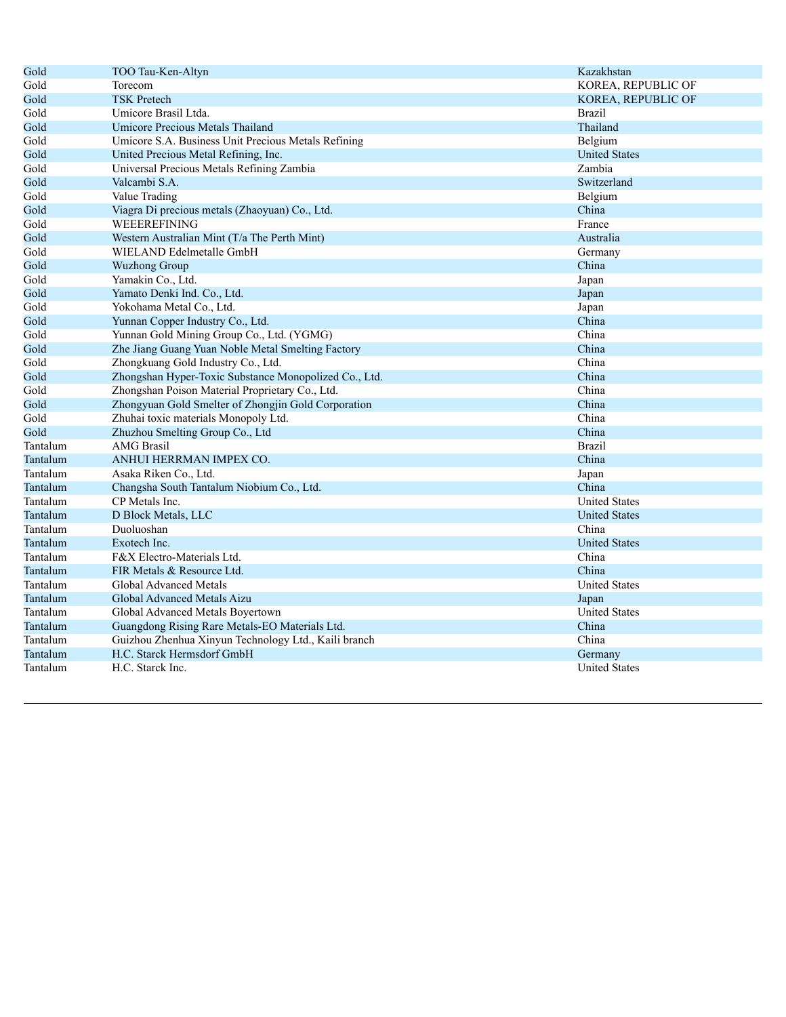| Gold<br>KOREA, REPUBLIC OF<br>Torecom<br>Gold<br><b>TSK Pretech</b><br>KOREA, REPUBLIC OF<br>Gold<br>Umicore Brasil Ltda.<br><b>Brazil</b><br>Thailand<br>Gold<br>Umicore Precious Metals Thailand<br>Gold<br>Umicore S.A. Business Unit Precious Metals Refining<br>Belgium<br>United Precious Metal Refining, Inc.<br><b>United States</b><br>Gold<br>Zambia<br>Gold<br>Universal Precious Metals Refining Zambia<br>Gold<br>Valcambi S.A.<br>Switzerland<br>Belgium<br>Gold<br>Value Trading<br>China<br>Gold<br>Viagra Di precious metals (Zhaoyuan) Co., Ltd.<br>WEEEREFINING<br>Gold<br>France<br>Gold<br>Western Australian Mint (T/a The Perth Mint)<br>Australia<br>Gold<br>WIELAND Edelmetalle GmbH<br>Germany<br>China<br>Gold<br><b>Wuzhong Group</b><br>Yamakin Co., Ltd.<br>Gold<br>Japan<br>Yamato Denki Ind. Co., Ltd.<br>Gold<br>Japan<br>Yokohama Metal Co., Ltd.<br>Gold<br>Japan<br>Yunnan Copper Industry Co., Ltd.<br>China<br>Gold<br>China<br>Gold<br>Yunnan Gold Mining Group Co., Ltd. (YGMG)<br>Zhe Jiang Guang Yuan Noble Metal Smelting Factory<br>China<br>Gold<br>Zhongkuang Gold Industry Co., Ltd.<br>China<br>Gold<br>Zhongshan Hyper-Toxic Substance Monopolized Co., Ltd.<br>China<br>Gold<br>China<br>Gold<br>Zhongshan Poison Material Proprietary Co., Ltd.<br>Zhongyuan Gold Smelter of Zhongjin Gold Corporation<br>China<br>Gold<br>China<br>Gold<br>Zhuhai toxic materials Monopoly Ltd.<br>Gold<br>China<br>Zhuzhou Smelting Group Co., Ltd<br>Tantalum<br><b>Brazil</b><br><b>AMG</b> Brasil<br>China<br>Tantalum<br>ANHUI HERRMAN IMPEX CO.<br>Tantalum<br>Asaka Riken Co., Ltd.<br>Japan<br>Changsha South Tantalum Niobium Co., Ltd.<br>China<br>Tantalum<br>Tantalum<br>CP Metals Inc.<br><b>United States</b><br>Tantalum<br>D Block Metals, LLC<br><b>United States</b><br>Tantalum<br>Duoluoshan<br>China<br>Tantalum<br>Exotech Inc.<br><b>United States</b><br>China<br>Tantalum<br>F&X Electro-Materials Ltd.<br>FIR Metals & Resource Ltd.<br>China<br>Tantalum<br>Tantalum<br><b>United States</b><br>Global Advanced Metals<br>Global Advanced Metals Aizu<br>Tantalum<br>Japan<br><b>United States</b><br>Tantalum<br>Global Advanced Metals Boyertown<br>Tantalum<br>Guangdong Rising Rare Metals-EO Materials Ltd.<br>China<br>Guizhou Zhenhua Xinyun Technology Ltd., Kaili branch<br>China<br>Tantalum<br>H.C. Starck Hermsdorf GmbH<br>Tantalum<br>Germany<br>Tantalum<br>H.C. Starck Inc.<br><b>United States</b> | Gold | TOO Tau-Ken-Altyn | Kazakhstan |
|------------------------------------------------------------------------------------------------------------------------------------------------------------------------------------------------------------------------------------------------------------------------------------------------------------------------------------------------------------------------------------------------------------------------------------------------------------------------------------------------------------------------------------------------------------------------------------------------------------------------------------------------------------------------------------------------------------------------------------------------------------------------------------------------------------------------------------------------------------------------------------------------------------------------------------------------------------------------------------------------------------------------------------------------------------------------------------------------------------------------------------------------------------------------------------------------------------------------------------------------------------------------------------------------------------------------------------------------------------------------------------------------------------------------------------------------------------------------------------------------------------------------------------------------------------------------------------------------------------------------------------------------------------------------------------------------------------------------------------------------------------------------------------------------------------------------------------------------------------------------------------------------------------------------------------------------------------------------------------------------------------------------------------------------------------------------------------------------------------------------------------------------------------------------------------------------------------------------------------------------------------------------------------------------------------------------------------------------------------------------------------------------------------------------------------------------------------------------------------|------|-------------------|------------|
|                                                                                                                                                                                                                                                                                                                                                                                                                                                                                                                                                                                                                                                                                                                                                                                                                                                                                                                                                                                                                                                                                                                                                                                                                                                                                                                                                                                                                                                                                                                                                                                                                                                                                                                                                                                                                                                                                                                                                                                                                                                                                                                                                                                                                                                                                                                                                                                                                                                                                    |      |                   |            |
|                                                                                                                                                                                                                                                                                                                                                                                                                                                                                                                                                                                                                                                                                                                                                                                                                                                                                                                                                                                                                                                                                                                                                                                                                                                                                                                                                                                                                                                                                                                                                                                                                                                                                                                                                                                                                                                                                                                                                                                                                                                                                                                                                                                                                                                                                                                                                                                                                                                                                    |      |                   |            |
|                                                                                                                                                                                                                                                                                                                                                                                                                                                                                                                                                                                                                                                                                                                                                                                                                                                                                                                                                                                                                                                                                                                                                                                                                                                                                                                                                                                                                                                                                                                                                                                                                                                                                                                                                                                                                                                                                                                                                                                                                                                                                                                                                                                                                                                                                                                                                                                                                                                                                    |      |                   |            |
|                                                                                                                                                                                                                                                                                                                                                                                                                                                                                                                                                                                                                                                                                                                                                                                                                                                                                                                                                                                                                                                                                                                                                                                                                                                                                                                                                                                                                                                                                                                                                                                                                                                                                                                                                                                                                                                                                                                                                                                                                                                                                                                                                                                                                                                                                                                                                                                                                                                                                    |      |                   |            |
|                                                                                                                                                                                                                                                                                                                                                                                                                                                                                                                                                                                                                                                                                                                                                                                                                                                                                                                                                                                                                                                                                                                                                                                                                                                                                                                                                                                                                                                                                                                                                                                                                                                                                                                                                                                                                                                                                                                                                                                                                                                                                                                                                                                                                                                                                                                                                                                                                                                                                    |      |                   |            |
|                                                                                                                                                                                                                                                                                                                                                                                                                                                                                                                                                                                                                                                                                                                                                                                                                                                                                                                                                                                                                                                                                                                                                                                                                                                                                                                                                                                                                                                                                                                                                                                                                                                                                                                                                                                                                                                                                                                                                                                                                                                                                                                                                                                                                                                                                                                                                                                                                                                                                    |      |                   |            |
|                                                                                                                                                                                                                                                                                                                                                                                                                                                                                                                                                                                                                                                                                                                                                                                                                                                                                                                                                                                                                                                                                                                                                                                                                                                                                                                                                                                                                                                                                                                                                                                                                                                                                                                                                                                                                                                                                                                                                                                                                                                                                                                                                                                                                                                                                                                                                                                                                                                                                    |      |                   |            |
|                                                                                                                                                                                                                                                                                                                                                                                                                                                                                                                                                                                                                                                                                                                                                                                                                                                                                                                                                                                                                                                                                                                                                                                                                                                                                                                                                                                                                                                                                                                                                                                                                                                                                                                                                                                                                                                                                                                                                                                                                                                                                                                                                                                                                                                                                                                                                                                                                                                                                    |      |                   |            |
|                                                                                                                                                                                                                                                                                                                                                                                                                                                                                                                                                                                                                                                                                                                                                                                                                                                                                                                                                                                                                                                                                                                                                                                                                                                                                                                                                                                                                                                                                                                                                                                                                                                                                                                                                                                                                                                                                                                                                                                                                                                                                                                                                                                                                                                                                                                                                                                                                                                                                    |      |                   |            |
|                                                                                                                                                                                                                                                                                                                                                                                                                                                                                                                                                                                                                                                                                                                                                                                                                                                                                                                                                                                                                                                                                                                                                                                                                                                                                                                                                                                                                                                                                                                                                                                                                                                                                                                                                                                                                                                                                                                                                                                                                                                                                                                                                                                                                                                                                                                                                                                                                                                                                    |      |                   |            |
|                                                                                                                                                                                                                                                                                                                                                                                                                                                                                                                                                                                                                                                                                                                                                                                                                                                                                                                                                                                                                                                                                                                                                                                                                                                                                                                                                                                                                                                                                                                                                                                                                                                                                                                                                                                                                                                                                                                                                                                                                                                                                                                                                                                                                                                                                                                                                                                                                                                                                    |      |                   |            |
|                                                                                                                                                                                                                                                                                                                                                                                                                                                                                                                                                                                                                                                                                                                                                                                                                                                                                                                                                                                                                                                                                                                                                                                                                                                                                                                                                                                                                                                                                                                                                                                                                                                                                                                                                                                                                                                                                                                                                                                                                                                                                                                                                                                                                                                                                                                                                                                                                                                                                    |      |                   |            |
|                                                                                                                                                                                                                                                                                                                                                                                                                                                                                                                                                                                                                                                                                                                                                                                                                                                                                                                                                                                                                                                                                                                                                                                                                                                                                                                                                                                                                                                                                                                                                                                                                                                                                                                                                                                                                                                                                                                                                                                                                                                                                                                                                                                                                                                                                                                                                                                                                                                                                    |      |                   |            |
|                                                                                                                                                                                                                                                                                                                                                                                                                                                                                                                                                                                                                                                                                                                                                                                                                                                                                                                                                                                                                                                                                                                                                                                                                                                                                                                                                                                                                                                                                                                                                                                                                                                                                                                                                                                                                                                                                                                                                                                                                                                                                                                                                                                                                                                                                                                                                                                                                                                                                    |      |                   |            |
|                                                                                                                                                                                                                                                                                                                                                                                                                                                                                                                                                                                                                                                                                                                                                                                                                                                                                                                                                                                                                                                                                                                                                                                                                                                                                                                                                                                                                                                                                                                                                                                                                                                                                                                                                                                                                                                                                                                                                                                                                                                                                                                                                                                                                                                                                                                                                                                                                                                                                    |      |                   |            |
|                                                                                                                                                                                                                                                                                                                                                                                                                                                                                                                                                                                                                                                                                                                                                                                                                                                                                                                                                                                                                                                                                                                                                                                                                                                                                                                                                                                                                                                                                                                                                                                                                                                                                                                                                                                                                                                                                                                                                                                                                                                                                                                                                                                                                                                                                                                                                                                                                                                                                    |      |                   |            |
|                                                                                                                                                                                                                                                                                                                                                                                                                                                                                                                                                                                                                                                                                                                                                                                                                                                                                                                                                                                                                                                                                                                                                                                                                                                                                                                                                                                                                                                                                                                                                                                                                                                                                                                                                                                                                                                                                                                                                                                                                                                                                                                                                                                                                                                                                                                                                                                                                                                                                    |      |                   |            |
|                                                                                                                                                                                                                                                                                                                                                                                                                                                                                                                                                                                                                                                                                                                                                                                                                                                                                                                                                                                                                                                                                                                                                                                                                                                                                                                                                                                                                                                                                                                                                                                                                                                                                                                                                                                                                                                                                                                                                                                                                                                                                                                                                                                                                                                                                                                                                                                                                                                                                    |      |                   |            |
|                                                                                                                                                                                                                                                                                                                                                                                                                                                                                                                                                                                                                                                                                                                                                                                                                                                                                                                                                                                                                                                                                                                                                                                                                                                                                                                                                                                                                                                                                                                                                                                                                                                                                                                                                                                                                                                                                                                                                                                                                                                                                                                                                                                                                                                                                                                                                                                                                                                                                    |      |                   |            |
|                                                                                                                                                                                                                                                                                                                                                                                                                                                                                                                                                                                                                                                                                                                                                                                                                                                                                                                                                                                                                                                                                                                                                                                                                                                                                                                                                                                                                                                                                                                                                                                                                                                                                                                                                                                                                                                                                                                                                                                                                                                                                                                                                                                                                                                                                                                                                                                                                                                                                    |      |                   |            |
|                                                                                                                                                                                                                                                                                                                                                                                                                                                                                                                                                                                                                                                                                                                                                                                                                                                                                                                                                                                                                                                                                                                                                                                                                                                                                                                                                                                                                                                                                                                                                                                                                                                                                                                                                                                                                                                                                                                                                                                                                                                                                                                                                                                                                                                                                                                                                                                                                                                                                    |      |                   |            |
|                                                                                                                                                                                                                                                                                                                                                                                                                                                                                                                                                                                                                                                                                                                                                                                                                                                                                                                                                                                                                                                                                                                                                                                                                                                                                                                                                                                                                                                                                                                                                                                                                                                                                                                                                                                                                                                                                                                                                                                                                                                                                                                                                                                                                                                                                                                                                                                                                                                                                    |      |                   |            |
|                                                                                                                                                                                                                                                                                                                                                                                                                                                                                                                                                                                                                                                                                                                                                                                                                                                                                                                                                                                                                                                                                                                                                                                                                                                                                                                                                                                                                                                                                                                                                                                                                                                                                                                                                                                                                                                                                                                                                                                                                                                                                                                                                                                                                                                                                                                                                                                                                                                                                    |      |                   |            |
|                                                                                                                                                                                                                                                                                                                                                                                                                                                                                                                                                                                                                                                                                                                                                                                                                                                                                                                                                                                                                                                                                                                                                                                                                                                                                                                                                                                                                                                                                                                                                                                                                                                                                                                                                                                                                                                                                                                                                                                                                                                                                                                                                                                                                                                                                                                                                                                                                                                                                    |      |                   |            |
|                                                                                                                                                                                                                                                                                                                                                                                                                                                                                                                                                                                                                                                                                                                                                                                                                                                                                                                                                                                                                                                                                                                                                                                                                                                                                                                                                                                                                                                                                                                                                                                                                                                                                                                                                                                                                                                                                                                                                                                                                                                                                                                                                                                                                                                                                                                                                                                                                                                                                    |      |                   |            |
|                                                                                                                                                                                                                                                                                                                                                                                                                                                                                                                                                                                                                                                                                                                                                                                                                                                                                                                                                                                                                                                                                                                                                                                                                                                                                                                                                                                                                                                                                                                                                                                                                                                                                                                                                                                                                                                                                                                                                                                                                                                                                                                                                                                                                                                                                                                                                                                                                                                                                    |      |                   |            |
|                                                                                                                                                                                                                                                                                                                                                                                                                                                                                                                                                                                                                                                                                                                                                                                                                                                                                                                                                                                                                                                                                                                                                                                                                                                                                                                                                                                                                                                                                                                                                                                                                                                                                                                                                                                                                                                                                                                                                                                                                                                                                                                                                                                                                                                                                                                                                                                                                                                                                    |      |                   |            |
|                                                                                                                                                                                                                                                                                                                                                                                                                                                                                                                                                                                                                                                                                                                                                                                                                                                                                                                                                                                                                                                                                                                                                                                                                                                                                                                                                                                                                                                                                                                                                                                                                                                                                                                                                                                                                                                                                                                                                                                                                                                                                                                                                                                                                                                                                                                                                                                                                                                                                    |      |                   |            |
|                                                                                                                                                                                                                                                                                                                                                                                                                                                                                                                                                                                                                                                                                                                                                                                                                                                                                                                                                                                                                                                                                                                                                                                                                                                                                                                                                                                                                                                                                                                                                                                                                                                                                                                                                                                                                                                                                                                                                                                                                                                                                                                                                                                                                                                                                                                                                                                                                                                                                    |      |                   |            |
|                                                                                                                                                                                                                                                                                                                                                                                                                                                                                                                                                                                                                                                                                                                                                                                                                                                                                                                                                                                                                                                                                                                                                                                                                                                                                                                                                                                                                                                                                                                                                                                                                                                                                                                                                                                                                                                                                                                                                                                                                                                                                                                                                                                                                                                                                                                                                                                                                                                                                    |      |                   |            |
|                                                                                                                                                                                                                                                                                                                                                                                                                                                                                                                                                                                                                                                                                                                                                                                                                                                                                                                                                                                                                                                                                                                                                                                                                                                                                                                                                                                                                                                                                                                                                                                                                                                                                                                                                                                                                                                                                                                                                                                                                                                                                                                                                                                                                                                                                                                                                                                                                                                                                    |      |                   |            |
|                                                                                                                                                                                                                                                                                                                                                                                                                                                                                                                                                                                                                                                                                                                                                                                                                                                                                                                                                                                                                                                                                                                                                                                                                                                                                                                                                                                                                                                                                                                                                                                                                                                                                                                                                                                                                                                                                                                                                                                                                                                                                                                                                                                                                                                                                                                                                                                                                                                                                    |      |                   |            |
|                                                                                                                                                                                                                                                                                                                                                                                                                                                                                                                                                                                                                                                                                                                                                                                                                                                                                                                                                                                                                                                                                                                                                                                                                                                                                                                                                                                                                                                                                                                                                                                                                                                                                                                                                                                                                                                                                                                                                                                                                                                                                                                                                                                                                                                                                                                                                                                                                                                                                    |      |                   |            |
|                                                                                                                                                                                                                                                                                                                                                                                                                                                                                                                                                                                                                                                                                                                                                                                                                                                                                                                                                                                                                                                                                                                                                                                                                                                                                                                                                                                                                                                                                                                                                                                                                                                                                                                                                                                                                                                                                                                                                                                                                                                                                                                                                                                                                                                                                                                                                                                                                                                                                    |      |                   |            |
|                                                                                                                                                                                                                                                                                                                                                                                                                                                                                                                                                                                                                                                                                                                                                                                                                                                                                                                                                                                                                                                                                                                                                                                                                                                                                                                                                                                                                                                                                                                                                                                                                                                                                                                                                                                                                                                                                                                                                                                                                                                                                                                                                                                                                                                                                                                                                                                                                                                                                    |      |                   |            |
|                                                                                                                                                                                                                                                                                                                                                                                                                                                                                                                                                                                                                                                                                                                                                                                                                                                                                                                                                                                                                                                                                                                                                                                                                                                                                                                                                                                                                                                                                                                                                                                                                                                                                                                                                                                                                                                                                                                                                                                                                                                                                                                                                                                                                                                                                                                                                                                                                                                                                    |      |                   |            |
|                                                                                                                                                                                                                                                                                                                                                                                                                                                                                                                                                                                                                                                                                                                                                                                                                                                                                                                                                                                                                                                                                                                                                                                                                                                                                                                                                                                                                                                                                                                                                                                                                                                                                                                                                                                                                                                                                                                                                                                                                                                                                                                                                                                                                                                                                                                                                                                                                                                                                    |      |                   |            |
|                                                                                                                                                                                                                                                                                                                                                                                                                                                                                                                                                                                                                                                                                                                                                                                                                                                                                                                                                                                                                                                                                                                                                                                                                                                                                                                                                                                                                                                                                                                                                                                                                                                                                                                                                                                                                                                                                                                                                                                                                                                                                                                                                                                                                                                                                                                                                                                                                                                                                    |      |                   |            |
|                                                                                                                                                                                                                                                                                                                                                                                                                                                                                                                                                                                                                                                                                                                                                                                                                                                                                                                                                                                                                                                                                                                                                                                                                                                                                                                                                                                                                                                                                                                                                                                                                                                                                                                                                                                                                                                                                                                                                                                                                                                                                                                                                                                                                                                                                                                                                                                                                                                                                    |      |                   |            |
|                                                                                                                                                                                                                                                                                                                                                                                                                                                                                                                                                                                                                                                                                                                                                                                                                                                                                                                                                                                                                                                                                                                                                                                                                                                                                                                                                                                                                                                                                                                                                                                                                                                                                                                                                                                                                                                                                                                                                                                                                                                                                                                                                                                                                                                                                                                                                                                                                                                                                    |      |                   |            |
|                                                                                                                                                                                                                                                                                                                                                                                                                                                                                                                                                                                                                                                                                                                                                                                                                                                                                                                                                                                                                                                                                                                                                                                                                                                                                                                                                                                                                                                                                                                                                                                                                                                                                                                                                                                                                                                                                                                                                                                                                                                                                                                                                                                                                                                                                                                                                                                                                                                                                    |      |                   |            |
|                                                                                                                                                                                                                                                                                                                                                                                                                                                                                                                                                                                                                                                                                                                                                                                                                                                                                                                                                                                                                                                                                                                                                                                                                                                                                                                                                                                                                                                                                                                                                                                                                                                                                                                                                                                                                                                                                                                                                                                                                                                                                                                                                                                                                                                                                                                                                                                                                                                                                    |      |                   |            |
|                                                                                                                                                                                                                                                                                                                                                                                                                                                                                                                                                                                                                                                                                                                                                                                                                                                                                                                                                                                                                                                                                                                                                                                                                                                                                                                                                                                                                                                                                                                                                                                                                                                                                                                                                                                                                                                                                                                                                                                                                                                                                                                                                                                                                                                                                                                                                                                                                                                                                    |      |                   |            |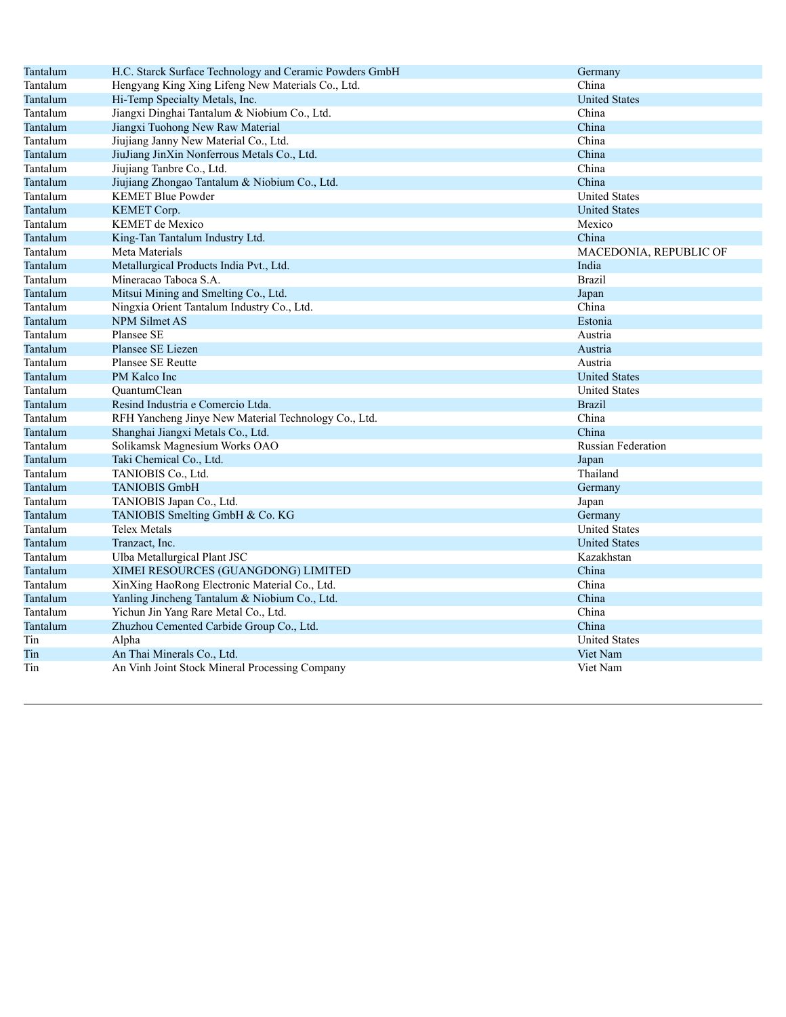| Tantalum | H.C. Starck Surface Technology and Ceramic Powders GmbH | Germany                   |
|----------|---------------------------------------------------------|---------------------------|
| Tantalum | Hengyang King Xing Lifeng New Materials Co., Ltd.       | China                     |
| Tantalum | Hi-Temp Specialty Metals, Inc.                          | <b>United States</b>      |
| Tantalum | Jiangxi Dinghai Tantalum & Niobium Co., Ltd.            | China                     |
| Tantalum | Jiangxi Tuohong New Raw Material                        | China                     |
| Tantalum | Jiujiang Janny New Material Co., Ltd.                   | China                     |
| Tantalum | JiuJiang JinXin Nonferrous Metals Co., Ltd.             | China                     |
| Tantalum | Jiujiang Tanbre Co., Ltd.                               | China                     |
| Tantalum | Jiujiang Zhongao Tantalum & Niobium Co., Ltd.           | China                     |
| Tantalum | <b>KEMET Blue Powder</b>                                | <b>United States</b>      |
| Tantalum | KEMET Corp.                                             | <b>United States</b>      |
| Tantalum | <b>KEMET</b> de Mexico                                  | Mexico                    |
| Tantalum | King-Tan Tantalum Industry Ltd.                         | China                     |
| Tantalum | Meta Materials                                          | MACEDONIA, REPUBLIC OF    |
| Tantalum | Metallurgical Products India Pvt., Ltd.                 | India                     |
| Tantalum | Mineracao Taboca S.A.                                   | <b>Brazil</b>             |
| Tantalum | Mitsui Mining and Smelting Co., Ltd.                    | Japan                     |
| Tantalum | Ningxia Orient Tantalum Industry Co., Ltd.              | China                     |
| Tantalum | NPM Silmet AS                                           | Estonia                   |
| Tantalum | Plansee SE                                              | Austria                   |
| Tantalum | Plansee SE Liezen                                       | Austria                   |
| Tantalum | Plansee SE Reutte                                       | Austria                   |
| Tantalum | PM Kalco Inc                                            | <b>United States</b>      |
| Tantalum | QuantumClean                                            | <b>United States</b>      |
| Tantalum | Resind Industria e Comercio Ltda.                       | <b>Brazil</b>             |
| Tantalum | RFH Yancheng Jinye New Material Technology Co., Ltd.    | China                     |
| Tantalum | Shanghai Jiangxi Metals Co., Ltd.                       | China                     |
| Tantalum | Solikamsk Magnesium Works OAO                           | <b>Russian Federation</b> |
| Tantalum | Taki Chemical Co., Ltd.                                 | Japan                     |
| Tantalum | TANIOBIS Co., Ltd.                                      | Thailand                  |
| Tantalum | <b>TANIOBIS GmbH</b>                                    | Germany                   |
| Tantalum | TANIOBIS Japan Co., Ltd.                                | Japan                     |
| Tantalum | TANIOBIS Smelting GmbH & Co. KG                         | Germany                   |
| Tantalum | Telex Metals                                            | <b>United States</b>      |
| Tantalum | Tranzact, Inc.                                          | <b>United States</b>      |
| Tantalum | Ulba Metallurgical Plant JSC                            | Kazakhstan                |
| Tantalum | XIMEI RESOURCES (GUANGDONG) LIMITED                     | China                     |
| Tantalum | XinXing HaoRong Electronic Material Co., Ltd.           | China                     |
| Tantalum | Yanling Jincheng Tantalum & Niobium Co., Ltd.           | China                     |
| Tantalum | Yichun Jin Yang Rare Metal Co., Ltd.                    | China                     |
| Tantalum | Zhuzhou Cemented Carbide Group Co., Ltd.                | China                     |
| Tin      | Alpha                                                   | <b>United States</b>      |
| Tin      | An Thai Minerals Co., Ltd.                              | Viet Nam                  |
| Tin      | An Vinh Joint Stock Mineral Processing Company          | Viet Nam                  |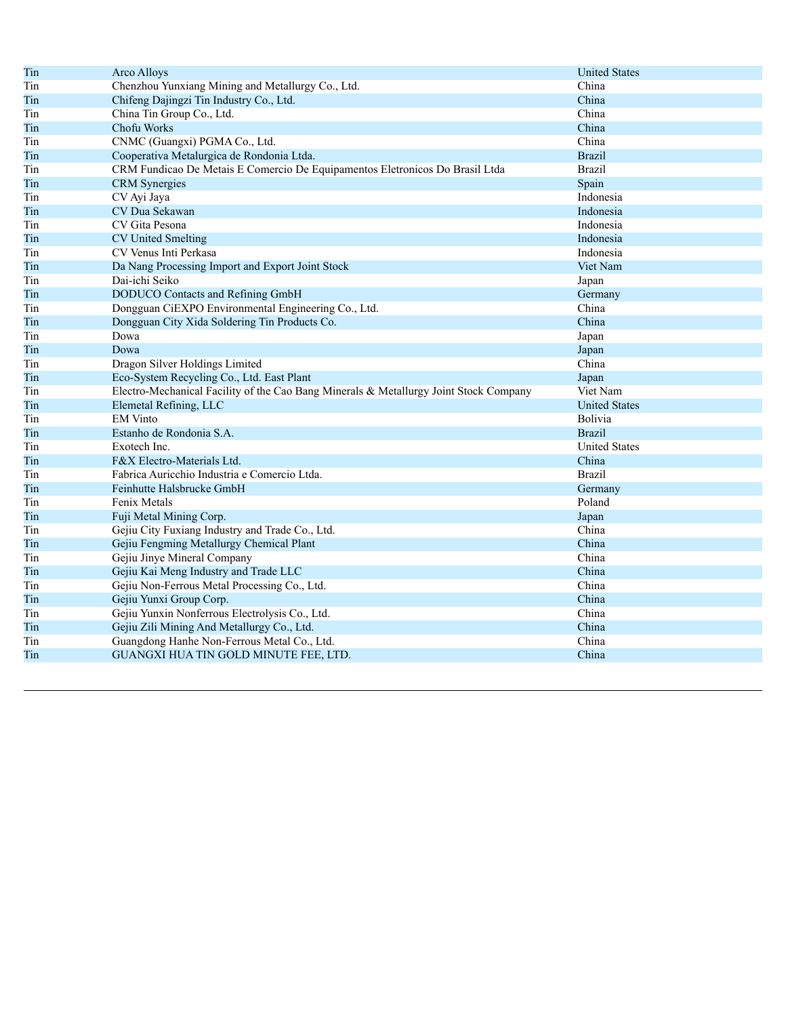| Tin | <b>Arco Alloys</b>                                                                    | <b>United States</b> |
|-----|---------------------------------------------------------------------------------------|----------------------|
| Tin | Chenzhou Yunxiang Mining and Metallurgy Co., Ltd.                                     | China                |
| Tin | Chifeng Dajingzi Tin Industry Co., Ltd.                                               | China                |
| Tin | China Tin Group Co., Ltd.                                                             | China                |
| Tin | Chofu Works                                                                           | China                |
| Tin | CNMC (Guangxi) PGMA Co., Ltd.                                                         | China                |
| Tin | Cooperativa Metalurgica de Rondonia Ltda.                                             | <b>Brazil</b>        |
| Tin | CRM Fundicao De Metais E Comercio De Equipamentos Eletronicos Do Brasil Ltda          | <b>Brazil</b>        |
| Tin | <b>CRM</b> Synergies                                                                  | Spain                |
| Tin | CV Ayi Jaya                                                                           | Indonesia            |
| Tin | CV Dua Sekawan                                                                        | Indonesia            |
| Tin | CV Gita Pesona                                                                        | Indonesia            |
| Tin | <b>CV United Smelting</b>                                                             | Indonesia            |
| Tin | CV Venus Inti Perkasa                                                                 | Indonesia            |
| Tin | Da Nang Processing Import and Export Joint Stock                                      | Viet Nam             |
| Tin | Dai-ichi Seiko                                                                        | Japan                |
| Tin | DODUCO Contacts and Refining GmbH                                                     | Germany              |
| Tin | Dongguan CiEXPO Environmental Engineering Co., Ltd.                                   | China                |
| Tin | Dongguan City Xida Soldering Tin Products Co.                                         | China                |
| Tin | Dowa                                                                                  | Japan                |
| Tin | Dowa                                                                                  | Japan                |
| Tin | Dragon Silver Holdings Limited                                                        | China                |
| Tin | Eco-System Recycling Co., Ltd. East Plant                                             | Japan                |
| Tin | Electro-Mechanical Facility of the Cao Bang Minerals & Metallurgy Joint Stock Company | Viet Nam             |
| Tin | Elemetal Refining, LLC                                                                | <b>United States</b> |
| Tin | <b>EM</b> Vinto                                                                       | Bolivia              |
| Tin | Estanho de Rondonia S.A.                                                              | <b>Brazil</b>        |
| Tin | Exotech Inc.                                                                          | <b>United States</b> |
| Tin | F&X Electro-Materials Ltd.                                                            | China                |
| Tin | Fabrica Auricchio Industria e Comercio Ltda.                                          | <b>Brazil</b>        |
| Tin | Feinhutte Halsbrucke GmbH                                                             | Germany              |
| Tin | Fenix Metals                                                                          | Poland               |
| Tin | Fuji Metal Mining Corp.                                                               | Japan                |
| Tin | Gejiu City Fuxiang Industry and Trade Co., Ltd.                                       | China                |
| Tin | Gejiu Fengming Metallurgy Chemical Plant                                              | China                |
| Tin | Gejiu Jinye Mineral Company                                                           | China                |
| Tin | Gejiu Kai Meng Industry and Trade LLC                                                 | China                |
| Tin | Gejiu Non-Ferrous Metal Processing Co., Ltd.                                          | China                |
| Tin | Gejiu Yunxi Group Corp.                                                               | China                |
| Tin | Gejiu Yunxin Nonferrous Electrolysis Co., Ltd.                                        | China                |
| Tin | Gejiu Zili Mining And Metallurgy Co., Ltd.                                            | China                |
| Tin | Guangdong Hanhe Non-Ferrous Metal Co., Ltd.                                           | China                |
| Tin | GUANGXI HUA TIN GOLD MINUTE FEE, LTD.                                                 | China                |
|     |                                                                                       |                      |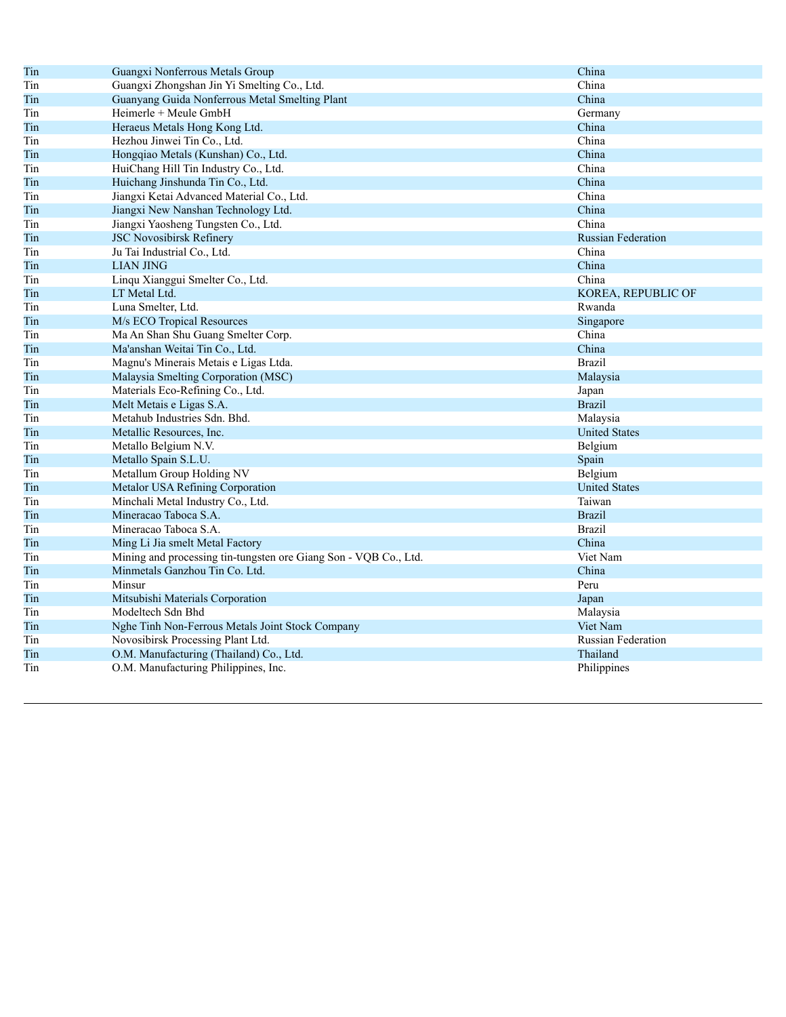| Tin | Guangxi Nonferrous Metals Group                                  | China                     |
|-----|------------------------------------------------------------------|---------------------------|
| Tin | Guangxi Zhongshan Jin Yi Smelting Co., Ltd.                      | China                     |
| Tin | Guanyang Guida Nonferrous Metal Smelting Plant                   | China                     |
| Tin | Heimerle + Meule GmbH                                            | Germany                   |
| Tin | Heraeus Metals Hong Kong Ltd.                                    | China                     |
| Tin | Hezhou Jinwei Tin Co., Ltd.                                      | China                     |
| Tin | Hongqiao Metals (Kunshan) Co., Ltd.                              | China                     |
| Tin | HuiChang Hill Tin Industry Co., Ltd.                             | China                     |
| Tin | Huichang Jinshunda Tin Co., Ltd.                                 | China                     |
| Tin | Jiangxi Ketai Advanced Material Co., Ltd.                        | China                     |
| Tin | Jiangxi New Nanshan Technology Ltd.                              | China                     |
| Tin | Jiangxi Yaosheng Tungsten Co., Ltd.                              | China                     |
| Tin | <b>JSC Novosibirsk Refinery</b>                                  | <b>Russian Federation</b> |
| Tin | Ju Tai Industrial Co., Ltd.                                      | China                     |
| Tin | <b>LIAN JING</b>                                                 | China                     |
| Tin | Linqu Xianggui Smelter Co., Ltd.                                 | China                     |
| Tin | LT Metal Ltd.                                                    | KOREA, REPUBLIC OF        |
| Tin | Luna Smelter, Ltd.                                               | Rwanda                    |
| Tin | M/s ECO Tropical Resources                                       | Singapore                 |
| Tin | Ma An Shan Shu Guang Smelter Corp.                               | China                     |
| Tin | Ma'anshan Weitai Tin Co., Ltd.                                   | China                     |
| Tin | Magnu's Minerais Metais e Ligas Ltda.                            | <b>Brazil</b>             |
| Tin | Malaysia Smelting Corporation (MSC)                              | Malaysia                  |
| Tin | Materials Eco-Refining Co., Ltd.                                 | Japan                     |
| Tin | Melt Metais e Ligas S.A.                                         | <b>Brazil</b>             |
| Tin | Metahub Industries Sdn. Bhd.                                     | Malaysia                  |
| Tin | Metallic Resources, Inc.                                         | <b>United States</b>      |
| Tin | Metallo Belgium N.V.                                             | Belgium                   |
| Tin | Metallo Spain S.L.U.                                             | Spain                     |
| Tin | Metallum Group Holding NV                                        | Belgium                   |
| Tin | Metalor USA Refining Corporation                                 | <b>United States</b>      |
| Tin | Minchali Metal Industry Co., Ltd.                                | Taiwan                    |
| Tin | Mineracao Taboca S.A.                                            | <b>Brazil</b>             |
| Tin | Mineracao Taboca S.A.                                            | <b>Brazil</b>             |
| Tin | Ming Li Jia smelt Metal Factory                                  | China                     |
| Tin | Mining and processing tin-tungsten ore Giang Son - VQB Co., Ltd. | Viet Nam                  |
| Tin | Minmetals Ganzhou Tin Co. Ltd.                                   | China                     |
| Tin | Minsur                                                           | Peru                      |
| Tin | Mitsubishi Materials Corporation                                 | Japan                     |
| Tin | Modeltech Sdn Bhd                                                | Malaysia                  |
| Tin | Nghe Tinh Non-Ferrous Metals Joint Stock Company                 | Viet Nam                  |
| Tin | Novosibirsk Processing Plant Ltd.                                | <b>Russian Federation</b> |
| Tin | O.M. Manufacturing (Thailand) Co., Ltd.                          | Thailand                  |
| Tin | O.M. Manufacturing Philippines, Inc.                             | Philippines               |
|     |                                                                  |                           |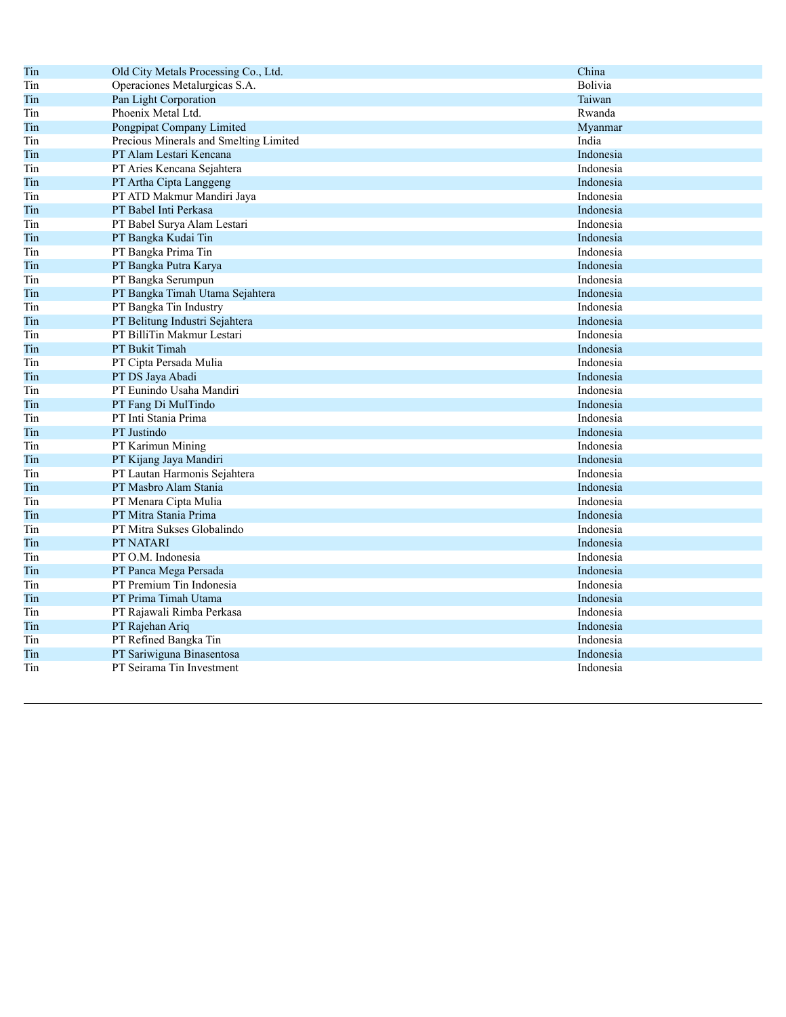| Tin | Old City Metals Processing Co., Ltd.   | China     |
|-----|----------------------------------------|-----------|
| Tin | Operaciones Metalurgicas S.A.          | Bolivia   |
| Tin | Pan Light Corporation                  | Taiwan    |
| Tin | Phoenix Metal Ltd.                     | Rwanda    |
| Tin | Pongpipat Company Limited              | Myanmar   |
| Tin | Precious Minerals and Smelting Limited | India     |
| Tin | PT Alam Lestari Kencana                | Indonesia |
| Tin | PT Aries Kencana Sejahtera             | Indonesia |
| Tin | PT Artha Cipta Langgeng                | Indonesia |
| Tin | PT ATD Makmur Mandiri Jaya             | Indonesia |
| Tin | PT Babel Inti Perkasa                  | Indonesia |
| Tin | PT Babel Surya Alam Lestari            | Indonesia |
| Tin | PT Bangka Kudai Tin                    | Indonesia |
| Tin | PT Bangka Prima Tin                    | Indonesia |
| Tin | PT Bangka Putra Karya                  | Indonesia |
| Tin | PT Bangka Serumpun                     | Indonesia |
| Tin | PT Bangka Timah Utama Sejahtera        | Indonesia |
| Tin | PT Bangka Tin Industry                 | Indonesia |
| Tin | PT Belitung Industri Sejahtera         | Indonesia |
| Tin | PT BilliTin Makmur Lestari             | Indonesia |
| Tin | <b>PT Bukit Timah</b>                  | Indonesia |
| Tin | PT Cipta Persada Mulia                 | Indonesia |
| Tin | PT DS Jaya Abadi                       | Indonesia |
| Tin | PT Eunindo Usaha Mandiri               | Indonesia |
| Tin | PT Fang Di MulTindo                    | Indonesia |
| Tin | PT Inti Stania Prima                   | Indonesia |
| Tin | PT Justindo                            | Indonesia |
| Tin | PT Karimun Mining                      | Indonesia |
| Tin | PT Kijang Jaya Mandiri                 | Indonesia |
| Tin | PT Lautan Harmonis Sejahtera           | Indonesia |
| Tin | PT Masbro Alam Stania                  | Indonesia |
| Tin | PT Menara Cipta Mulia                  | Indonesia |
| Tin | PT Mitra Stania Prima                  | Indonesia |
| Tin | PT Mitra Sukses Globalindo             | Indonesia |
| Tin | <b>PT NATARI</b>                       | Indonesia |
| Tin | PT O.M. Indonesia                      | Indonesia |
| Tin | PT Panca Mega Persada                  | Indonesia |
| Tin | PT Premium Tin Indonesia               | Indonesia |
| Tin | PT Prima Timah Utama                   | Indonesia |
| Tin | PT Rajawali Rimba Perkasa              | Indonesia |
| Tin | PT Rajehan Ariq                        | Indonesia |
| Tin | PT Refined Bangka Tin                  | Indonesia |
| Tin | PT Sariwiguna Binasentosa              | Indonesia |
| Tin | PT Seirama Tin Investment              | Indonesia |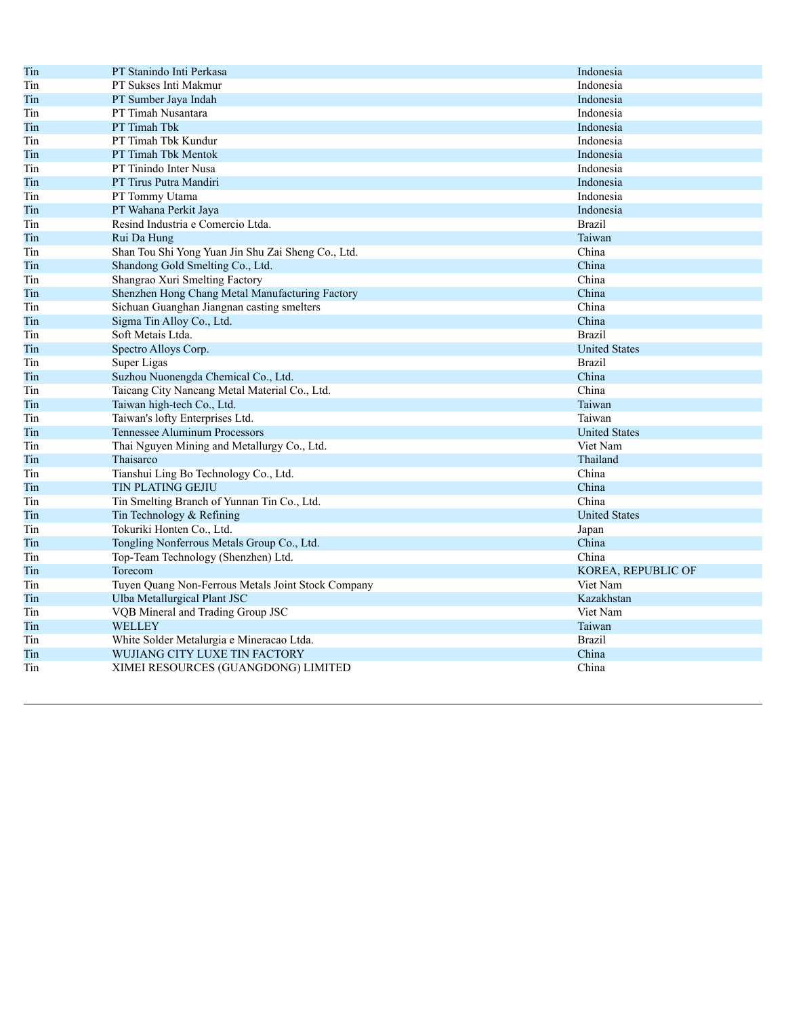| Tin | PT Stanindo Inti Perkasa                           | Indonesia            |
|-----|----------------------------------------------------|----------------------|
| Tin | PT Sukses Inti Makmur                              | Indonesia            |
| Tin | PT Sumber Jaya Indah                               | Indonesia            |
| Tin | PT Timah Nusantara                                 | Indonesia            |
| Tin | PT Timah Tbk                                       | Indonesia            |
| Tin | PT Timah Tbk Kundur                                | Indonesia            |
| Tin | PT Timah Tbk Mentok                                | Indonesia            |
| Tin | PT Tinindo Inter Nusa                              | Indonesia            |
| Tin | PT Tirus Putra Mandiri                             | Indonesia            |
| Tin | PT Tommy Utama                                     | Indonesia            |
| Tin | PT Wahana Perkit Jaya                              | Indonesia            |
| Tin | Resind Industria e Comercio Ltda.                  | <b>Brazil</b>        |
| Tin | Rui Da Hung                                        | Taiwan               |
| Tin | Shan Tou Shi Yong Yuan Jin Shu Zai Sheng Co., Ltd. | China                |
| Tin | Shandong Gold Smelting Co., Ltd.                   | China                |
| Tin | Shangrao Xuri Smelting Factory                     | China                |
| Tin | Shenzhen Hong Chang Metal Manufacturing Factory    | China                |
| Tin | Sichuan Guanghan Jiangnan casting smelters         | China                |
| Tin | Sigma Tin Alloy Co., Ltd.                          | China                |
| Tin | Soft Metais Ltda.                                  | <b>Brazil</b>        |
| Tin | Spectro Alloys Corp.                               | <b>United States</b> |
| Tin | Super Ligas                                        | <b>Brazil</b>        |
| Tin | Suzhou Nuonengda Chemical Co., Ltd.                | China                |
| Tin | Taicang City Nancang Metal Material Co., Ltd.      | China                |
| Tin | Taiwan high-tech Co., Ltd.                         | Taiwan               |
| Tin | Taiwan's lofty Enterprises Ltd.                    | Taiwan               |
| Tin | Tennessee Aluminum Processors                      | <b>United States</b> |
| Tin | Thai Nguyen Mining and Metallurgy Co., Ltd.        | Viet Nam             |
| Tin | Thaisarco                                          | Thailand             |
| Tin | Tianshui Ling Bo Technology Co., Ltd.              | China                |
| Tin | <b>TIN PLATING GEJIU</b>                           | China                |
| Tin | Tin Smelting Branch of Yunnan Tin Co., Ltd.        | China                |
| Tin | Tin Technology & Refining                          | <b>United States</b> |
| Tin | Tokuriki Honten Co., Ltd.                          | Japan                |
| Tin | Tongling Nonferrous Metals Group Co., Ltd.         | China                |
| Tin | Top-Team Technology (Shenzhen) Ltd.                | China                |
| Tin | Torecom                                            | KOREA, REPUBLIC OF   |
| Tin | Tuyen Quang Non-Ferrous Metals Joint Stock Company | Viet Nam             |
| Tin | Ulba Metallurgical Plant JSC                       | Kazakhstan           |
| Tin | VQB Mineral and Trading Group JSC                  | Viet Nam             |
| Tin | WELLEY                                             | Taiwan               |
| Tin | White Solder Metalurgia e Mineracao Ltda.          | <b>Brazil</b>        |
| Tin | WUJIANG CITY LUXE TIN FACTORY                      | China                |
| Tin | XIMEI RESOURCES (GUANGDONG) LIMITED                | China                |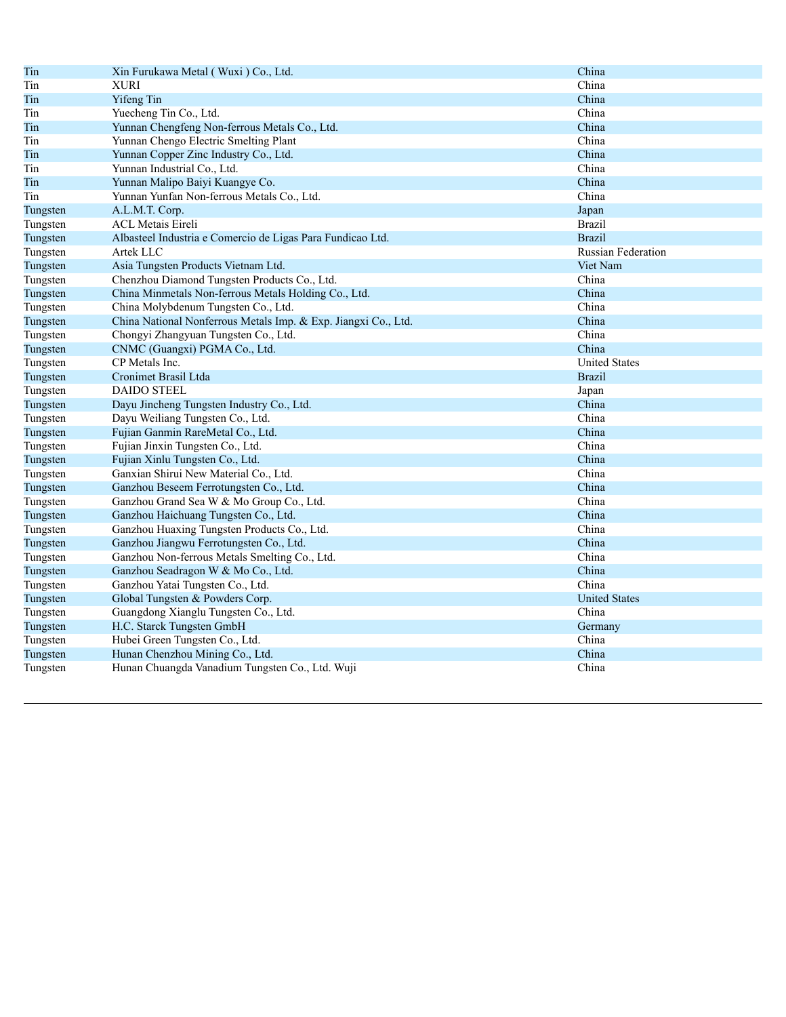| Tin      | Xin Furukawa Metal (Wuxi) Co., Ltd.                            | China                |
|----------|----------------------------------------------------------------|----------------------|
| Tin      | <b>XURI</b>                                                    | China                |
| Tin      | Yifeng Tin                                                     | China                |
| Tin      | Yuecheng Tin Co., Ltd.                                         | China                |
| Tin      | Yunnan Chengfeng Non-ferrous Metals Co., Ltd.                  | China                |
| Tin      | Yunnan Chengo Electric Smelting Plant                          | China                |
| Tin      | Yunnan Copper Zinc Industry Co., Ltd.                          | China                |
| Tin      | Yunnan Industrial Co., Ltd.                                    | China                |
| Tin      | Yunnan Malipo Baiyi Kuangye Co.                                | China                |
| Tin      | Yunnan Yunfan Non-ferrous Metals Co., Ltd.                     | China                |
| Tungsten | A.L.M.T. Corp.                                                 | Japan                |
| Tungsten | <b>ACL Metais Eireli</b>                                       | <b>Brazil</b>        |
| Tungsten | Albasteel Industria e Comercio de Ligas Para Fundicao Ltd.     | <b>Brazil</b>        |
| Tungsten | Artek LLC                                                      | Russian Federation   |
| Tungsten | Asia Tungsten Products Vietnam Ltd.                            | Viet Nam             |
| Tungsten | Chenzhou Diamond Tungsten Products Co., Ltd.                   | China                |
| Tungsten | China Minmetals Non-ferrous Metals Holding Co., Ltd.           | China                |
| Tungsten | China Molybdenum Tungsten Co., Ltd.                            | China                |
| Tungsten | China National Nonferrous Metals Imp. & Exp. Jiangxi Co., Ltd. | China                |
| Tungsten | Chongyi Zhangyuan Tungsten Co., Ltd.                           | China                |
| Tungsten | CNMC (Guangxi) PGMA Co., Ltd.                                  | China                |
| Tungsten | CP Metals Inc.                                                 | <b>United States</b> |
| Tungsten | Cronimet Brasil Ltda                                           | <b>Brazil</b>        |
| Tungsten | <b>DAIDO STEEL</b>                                             | Japan                |
| Tungsten | Dayu Jincheng Tungsten Industry Co., Ltd.                      | China                |
| Tungsten | Dayu Weiliang Tungsten Co., Ltd.                               | China                |
| Tungsten | Fujian Ganmin RareMetal Co., Ltd.                              | China                |
| Tungsten | Fujian Jinxin Tungsten Co., Ltd.                               | China                |
| Tungsten | Fujian Xinlu Tungsten Co., Ltd.                                | China                |
| Tungsten | Ganxian Shirui New Material Co., Ltd.                          | China                |
| Tungsten | Ganzhou Beseem Ferrotungsten Co., Ltd.                         | China                |
| Tungsten | Ganzhou Grand Sea W & Mo Group Co., Ltd.                       | China                |
| Tungsten | Ganzhou Haichuang Tungsten Co., Ltd.                           | China                |
| Tungsten | Ganzhou Huaxing Tungsten Products Co., Ltd.                    | China                |
| Tungsten | Ganzhou Jiangwu Ferrotungsten Co., Ltd.                        | China                |
| Tungsten | Ganzhou Non-ferrous Metals Smelting Co., Ltd.                  | China                |
| Tungsten | Ganzhou Seadragon W & Mo Co., Ltd.                             | China                |
| Tungsten | Ganzhou Yatai Tungsten Co., Ltd.                               | China                |
| Tungsten | Global Tungsten & Powders Corp.                                | <b>United States</b> |
| Tungsten | Guangdong Xianglu Tungsten Co., Ltd.                           | China                |
| Tungsten | H.C. Starck Tungsten GmbH                                      | Germany              |
| Tungsten | Hubei Green Tungsten Co., Ltd.                                 | China                |
| Tungsten | Hunan Chenzhou Mining Co., Ltd.                                | China                |
| Tungsten | Hunan Chuangda Vanadium Tungsten Co., Ltd. Wuji                | China                |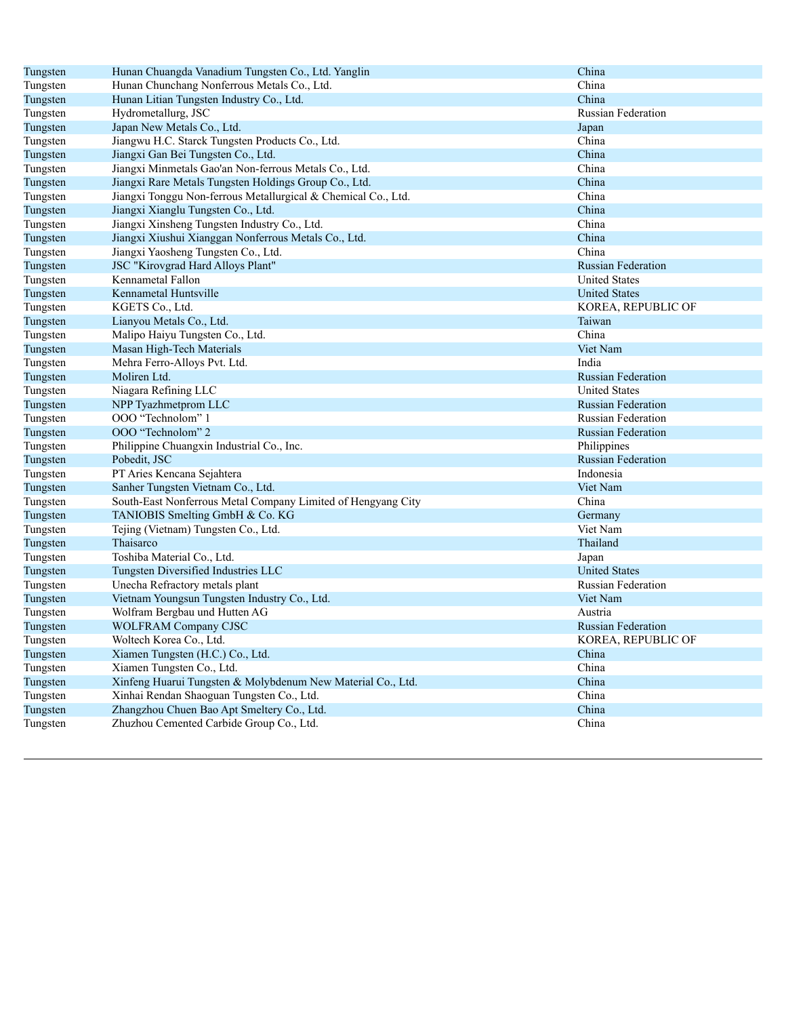| Tungsten | Hunan Chuangda Vanadium Tungsten Co., Ltd. Yanglin            | China                     |
|----------|---------------------------------------------------------------|---------------------------|
| Tungsten | Hunan Chunchang Nonferrous Metals Co., Ltd.                   | China                     |
| Tungsten | Hunan Litian Tungsten Industry Co., Ltd.                      | China                     |
| Tungsten | Hydrometallurg, JSC                                           | <b>Russian Federation</b> |
| Tungsten | Japan New Metals Co., Ltd.                                    | Japan                     |
| Tungsten | Jiangwu H.C. Starck Tungsten Products Co., Ltd.               | China                     |
| Tungsten | Jiangxi Gan Bei Tungsten Co., Ltd.                            | China                     |
| Tungsten | Jiangxi Minmetals Gao'an Non-ferrous Metals Co., Ltd.         | China                     |
| Tungsten | Jiangxi Rare Metals Tungsten Holdings Group Co., Ltd.         | China                     |
| Tungsten | Jiangxi Tonggu Non-ferrous Metallurgical & Chemical Co., Ltd. | China                     |
| Tungsten | Jiangxi Xianglu Tungsten Co., Ltd.                            | China                     |
| Tungsten | Jiangxi Xinsheng Tungsten Industry Co., Ltd.                  | China                     |
| Tungsten | Jiangxi Xiushui Xianggan Nonferrous Metals Co., Ltd.          | China                     |
| Tungsten | Jiangxi Yaosheng Tungsten Co., Ltd.                           | China                     |
| Tungsten | <b>JSC</b> "Kirovgrad Hard Alloys Plant"                      | <b>Russian Federation</b> |
| Tungsten | Kennametal Fallon                                             | <b>United States</b>      |
| Tungsten | Kennametal Huntsville                                         | <b>United States</b>      |
| Tungsten | KGETS Co., Ltd.                                               | KOREA, REPUBLIC OF        |
| Tungsten | Lianyou Metals Co., Ltd.                                      | Taiwan                    |
| Tungsten | Malipo Haiyu Tungsten Co., Ltd.                               | China                     |
| Tungsten | Masan High-Tech Materials                                     | Viet Nam                  |
| Tungsten | Mehra Ferro-Alloys Pvt. Ltd.                                  | India                     |
| Tungsten | Moliren Ltd.                                                  | <b>Russian Federation</b> |
| Tungsten | Niagara Refining LLC                                          | <b>United States</b>      |
| Tungsten | NPP Tyazhmetprom LLC                                          | <b>Russian Federation</b> |
| Tungsten | OOO "Technolom" 1                                             | <b>Russian Federation</b> |
| Tungsten | OOO "Technolom" 2                                             | <b>Russian Federation</b> |
| Tungsten | Philippine Chuangxin Industrial Co., Inc.                     | Philippines               |
| Tungsten | Pobedit, JSC                                                  | <b>Russian Federation</b> |
| Tungsten | PT Aries Kencana Sejahtera                                    | Indonesia                 |
| Tungsten | Sanher Tungsten Vietnam Co., Ltd.                             | Viet Nam                  |
| Tungsten | South-East Nonferrous Metal Company Limited of Hengyang City  | China                     |
| Tungsten | TANIOBIS Smelting GmbH & Co. KG                               | Germany                   |
| Tungsten | Tejing (Vietnam) Tungsten Co., Ltd.                           | Viet Nam                  |
| Tungsten | Thaisarco                                                     | Thailand                  |
| Tungsten | Toshiba Material Co., Ltd.                                    | Japan                     |
| Tungsten | Tungsten Diversified Industries LLC                           | <b>United States</b>      |
| Tungsten | Unecha Refractory metals plant                                | <b>Russian Federation</b> |
| Tungsten | Vietnam Youngsun Tungsten Industry Co., Ltd.                  | Viet Nam                  |
| Tungsten | Wolfram Bergbau und Hutten AG                                 | Austria                   |
| Tungsten | <b>WOLFRAM Company CJSC</b>                                   | <b>Russian Federation</b> |
| Tungsten | Woltech Korea Co., Ltd.                                       | KOREA, REPUBLIC OF        |
| Tungsten | Xiamen Tungsten (H.C.) Co., Ltd.                              | China                     |
| Tungsten | Xiamen Tungsten Co., Ltd.                                     | China                     |
| Tungsten | Xinfeng Huarui Tungsten & Molybdenum New Material Co., Ltd.   | China                     |
| Tungsten | Xinhai Rendan Shaoguan Tungsten Co., Ltd.                     | China                     |
| Tungsten | Zhangzhou Chuen Bao Apt Smeltery Co., Ltd.                    | China                     |
| Tungsten | Zhuzhou Cemented Carbide Group Co., Ltd.                      | China                     |
|          |                                                               |                           |